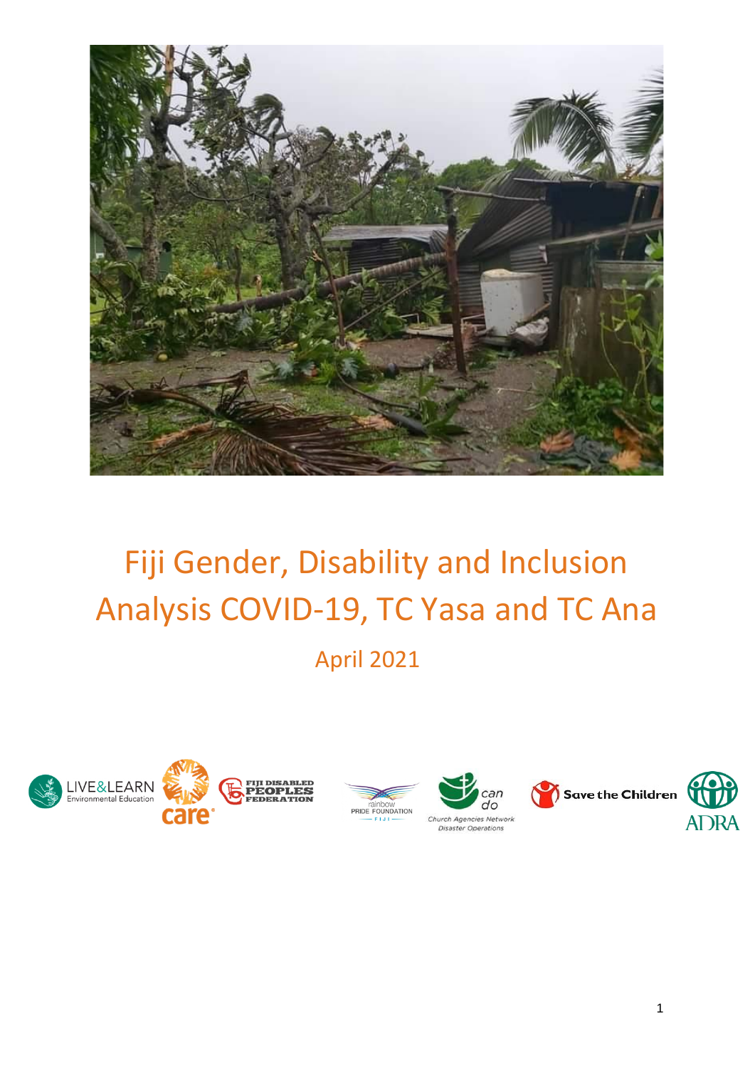

# Fiji Gender, Disability and Inclusion Analysis COVID-19, TC Yasa and TC Ana

April 2021







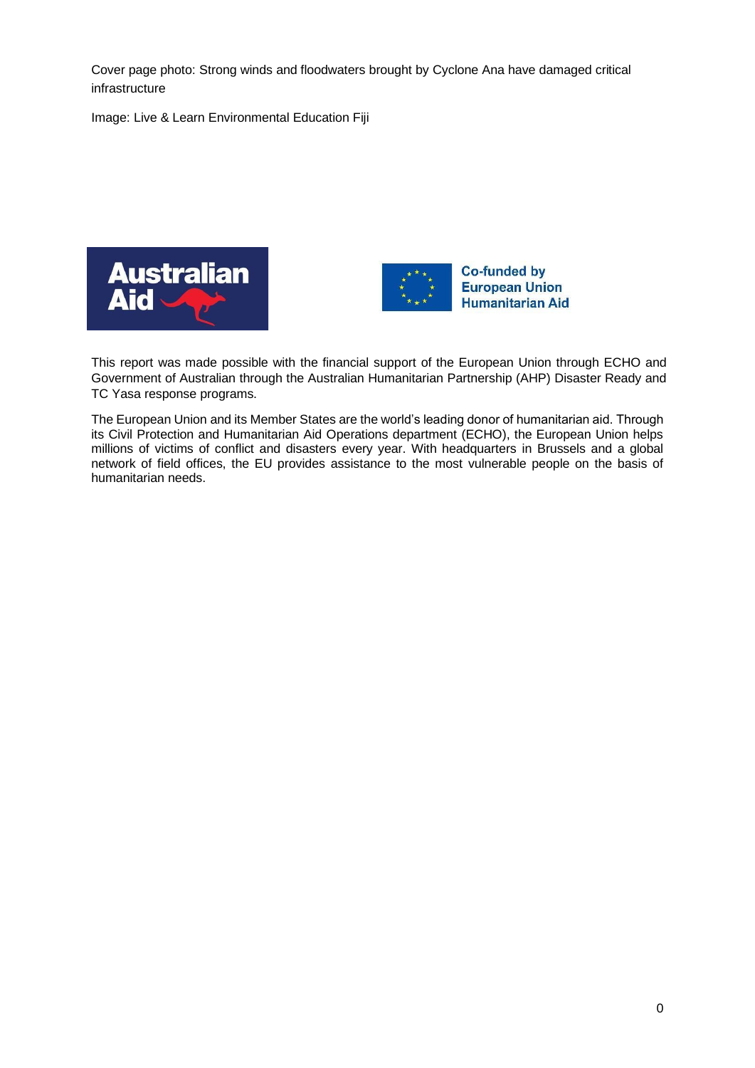Cover page photo: Strong winds and floodwaters brought by Cyclone Ana have damaged critical infrastructure

Image: Live & Learn Environmental Education Fiji





This report was made possible with the financial support of the European Union through ECHO and Government of Australian through the Australian Humanitarian Partnership (AHP) Disaster Ready and TC Yasa response programs.

The European Union and its Member States are the world's leading donor of humanitarian aid. Through its Civil Protection and Humanitarian Aid Operations department (ECHO), the European Union helps millions of victims of conflict and disasters every year. With headquarters in Brussels and a global network of field offices, the EU provides assistance to the most vulnerable people on the basis of humanitarian needs.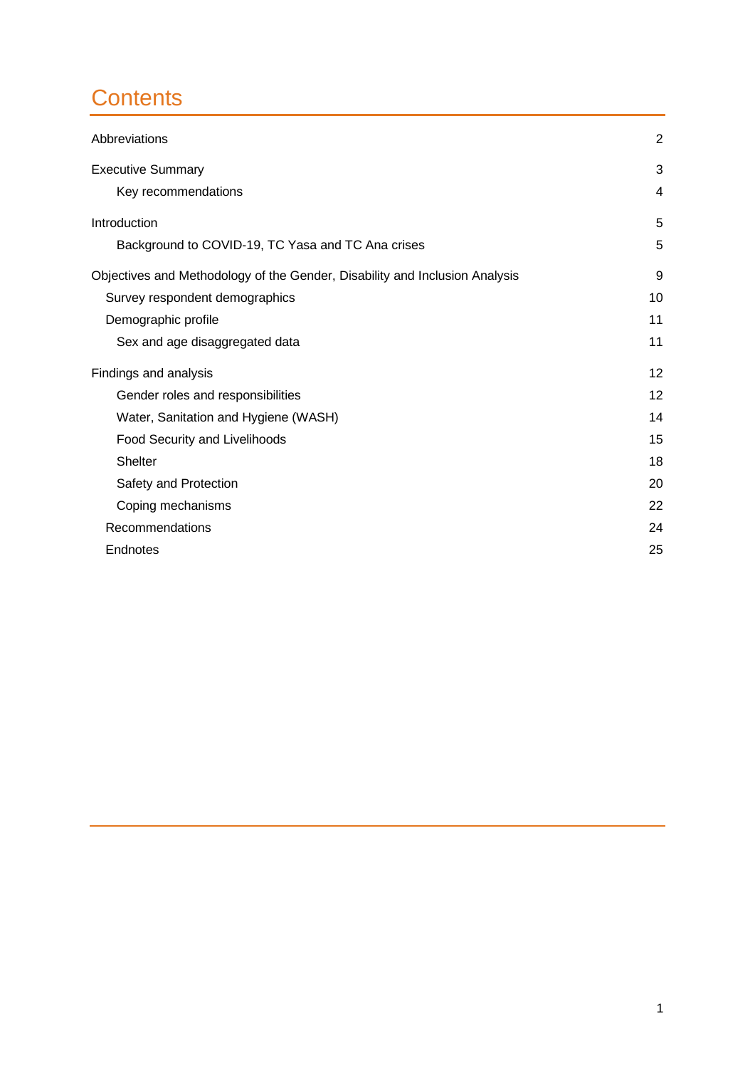# **Contents**

| Abbreviations                                                               | $\overline{2}$ |
|-----------------------------------------------------------------------------|----------------|
| <b>Executive Summary</b>                                                    | 3              |
| Key recommendations                                                         | 4              |
| Introduction                                                                | 5              |
| Background to COVID-19, TC Yasa and TC Ana crises                           | 5              |
| Objectives and Methodology of the Gender, Disability and Inclusion Analysis | 9              |
| Survey respondent demographics                                              | 10             |
| Demographic profile                                                         | 11             |
| Sex and age disaggregated data                                              | 11             |
| Findings and analysis                                                       | 12             |
| Gender roles and responsibilities                                           | 12             |
| Water, Sanitation and Hygiene (WASH)                                        | 14             |
| Food Security and Livelihoods                                               | 15             |
| <b>Shelter</b>                                                              | 18             |
| Safety and Protection                                                       | 20             |
| Coping mechanisms                                                           | 22             |
| Recommendations                                                             | 24             |
| Endnotes                                                                    | 25             |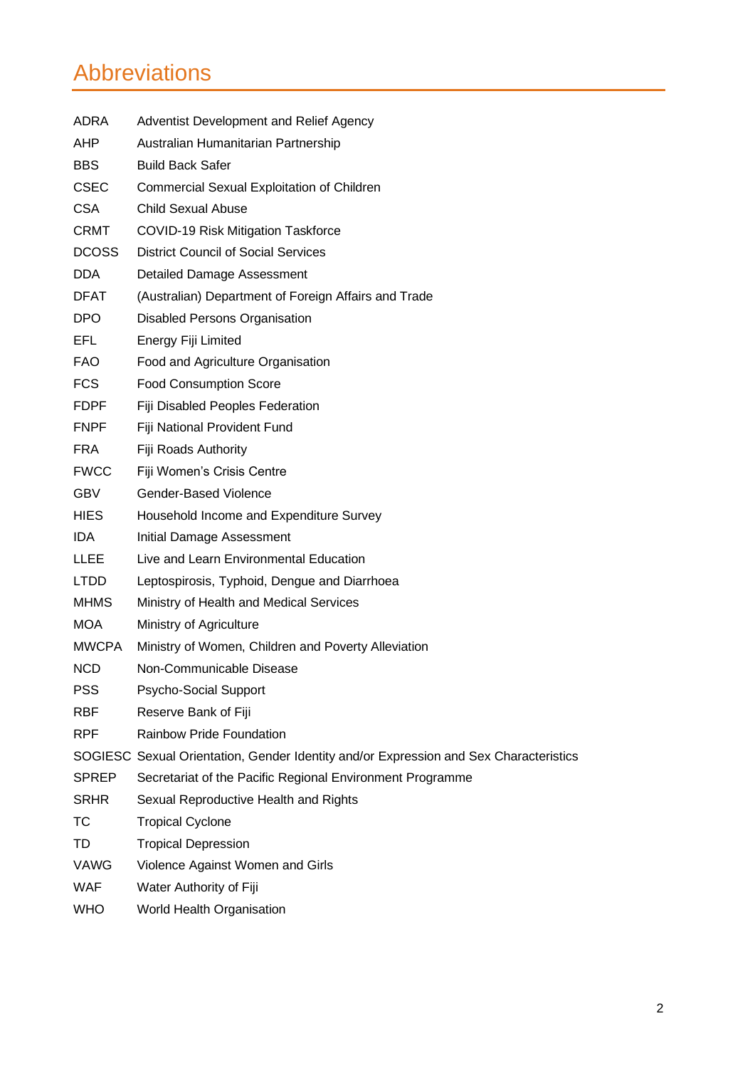# <span id="page-3-0"></span>Abbreviations

| ADRA         | Adventist Development and Relief Agency                                               |
|--------------|---------------------------------------------------------------------------------------|
| AHP          | Australian Humanitarian Partnership                                                   |
| BBS.         | <b>Build Back Safer</b>                                                               |
| <b>CSEC</b>  | Commercial Sexual Exploitation of Children                                            |
| <b>CSA</b>   | <b>Child Sexual Abuse</b>                                                             |
| <b>CRMT</b>  | <b>COVID-19 Risk Mitigation Taskforce</b>                                             |
| <b>DCOSS</b> | <b>District Council of Social Services</b>                                            |
| <b>DDA</b>   | Detailed Damage Assessment                                                            |
| <b>DFAT</b>  | (Australian) Department of Foreign Affairs and Trade                                  |
| DPO.         | <b>Disabled Persons Organisation</b>                                                  |
| EFL.         | Energy Fiji Limited                                                                   |
| <b>FAO</b>   | Food and Agriculture Organisation                                                     |
| <b>FCS</b>   | <b>Food Consumption Score</b>                                                         |
| <b>FDPF</b>  | Fiji Disabled Peoples Federation                                                      |
| <b>FNPF</b>  | Fiji National Provident Fund                                                          |
| <b>FRA</b>   | Fiji Roads Authority                                                                  |
| <b>FWCC</b>  | Fiji Women's Crisis Centre                                                            |
| <b>GBV</b>   | Gender-Based Violence                                                                 |
| <b>HIES</b>  | Household Income and Expenditure Survey                                               |
| IDA.         | <b>Initial Damage Assessment</b>                                                      |
| <b>LLEE</b>  | Live and Learn Environmental Education                                                |
| <b>LTDD</b>  | Leptospirosis, Typhoid, Dengue and Diarrhoea                                          |
| <b>MHMS</b>  | Ministry of Health and Medical Services                                               |
| <b>MOA</b>   | Ministry of Agriculture                                                               |
| <b>MWCPA</b> | Ministry of Women, Children and Poverty Alleviation                                   |
| <b>NCD</b>   | Non-Communicable Disease                                                              |
| <b>PSS</b>   | Psycho-Social Support                                                                 |
| <b>RBF</b>   | Reserve Bank of Fiji                                                                  |
| <b>RPF</b>   | <b>Rainbow Pride Foundation</b>                                                       |
|              | SOGIESC Sexual Orientation, Gender Identity and/or Expression and Sex Characteristics |
| <b>SPREP</b> | Secretariat of the Pacific Regional Environment Programme                             |
| <b>SRHR</b>  | Sexual Reproductive Health and Rights                                                 |
| <b>TC</b>    | <b>Tropical Cyclone</b>                                                               |
| TD           | <b>Tropical Depression</b>                                                            |
| VAWG         | Violence Against Women and Girls                                                      |
| <b>WAF</b>   | Water Authority of Fiji                                                               |
| <b>WHO</b>   | World Health Organisation                                                             |
|              |                                                                                       |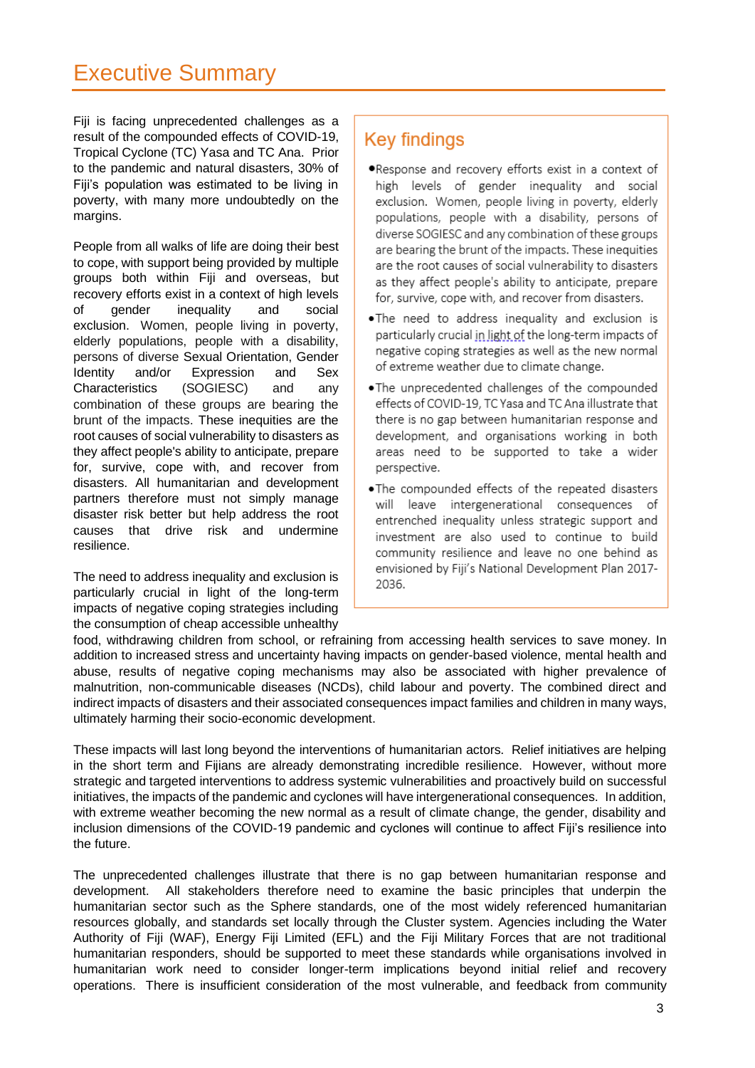# <span id="page-4-0"></span>Executive Summary

Fiji is facing unprecedented challenges as a result of the compounded effects of COVID-19, Tropical Cyclone (TC) Yasa and TC Ana. Prior to the pandemic and natural disasters, 30% of Fiji's population was estimated to be living in poverty, with many more undoubtedly on the margins.

People from all walks of life are doing their best to cope, with support being provided by multiple groups both within Fiji and overseas, but recovery efforts exist in a context of high levels of gender inequality and social exclusion. Women, people living in poverty, elderly populations, people with a disability, persons of diverse Sexual Orientation, Gender Identity and/or Expression and Sex Characteristics (SOGIESC) and any combination of these groups are bearing the brunt of the impacts. These inequities are the root causes of social vulnerability to disasters as they affect people's ability to anticipate, prepare for, survive, cope with, and recover from disasters. All humanitarian and development partners therefore must not simply manage disaster risk better but help address the root causes that drive risk and undermine resilience.

The need to address inequality and exclusion is particularly crucial in light of the long-term impacts of negative coping strategies including the consumption of cheap accessible unhealthy

## **Key findings**

- .Response and recovery efforts exist in a context of high levels of gender inequality and social exclusion. Women, people living in poverty, elderly populations, people with a disability, persons of diverse SOGIESC and any combination of these groups are bearing the brunt of the impacts. These inequities are the root causes of social vulnerability to disasters as they affect people's ability to anticipate, prepare for, survive, cope with, and recover from disasters.
- .The need to address inequality and exclusion is particularly crucial in light of the long-term impacts of negative coping strategies as well as the new normal of extreme weather due to climate change.
- . The unprecedented challenges of the compounded effects of COVID-19, TC Yasa and TC Ana illustrate that there is no gap between humanitarian response and development, and organisations working in both areas need to be supported to take a wider perspective.
- . The compounded effects of the repeated disasters will leave intergenerational consequences of entrenched inequality unless strategic support and investment are also used to continue to build community resilience and leave no one behind as envisioned by Fiji's National Development Plan 2017-2036.

food, withdrawing children from school, or refraining from accessing health services to save money. In addition to increased stress and uncertainty having impacts on gender-based violence, mental health and abuse, results of negative coping mechanisms may also be associated with higher prevalence of malnutrition, non-communicable diseases (NCDs), child labour and poverty. The combined direct and indirect impacts of disasters and their associated consequences impact families and children in many ways, ultimately harming their socio-economic development.

These impacts will last long beyond the interventions of humanitarian actors. Relief initiatives are helping in the short term and Fijians are already demonstrating incredible resilience. However, without more strategic and targeted interventions to address systemic vulnerabilities and proactively build on successful initiatives, the impacts of the pandemic and cyclones will have intergenerational consequences. In addition, with extreme weather becoming the new normal as a result of climate change, the gender, disability and inclusion dimensions of the COVID-19 pandemic and cyclones will continue to affect Fiji's resilience into the future.

The unprecedented challenges illustrate that there is no gap between humanitarian response and development. All stakeholders therefore need to examine the basic principles that underpin the humanitarian sector such as the Sphere standards, one of the most widely referenced humanitarian resources globally, and standards set locally through the Cluster system. Agencies including the Water Authority of Fiji (WAF), Energy Fiji Limited (EFL) and the Fiji Military Forces that are not traditional humanitarian responders, should be supported to meet these standards while organisations involved in humanitarian work need to consider longer-term implications beyond initial relief and recovery operations. There is insufficient consideration of the most vulnerable, and feedback from community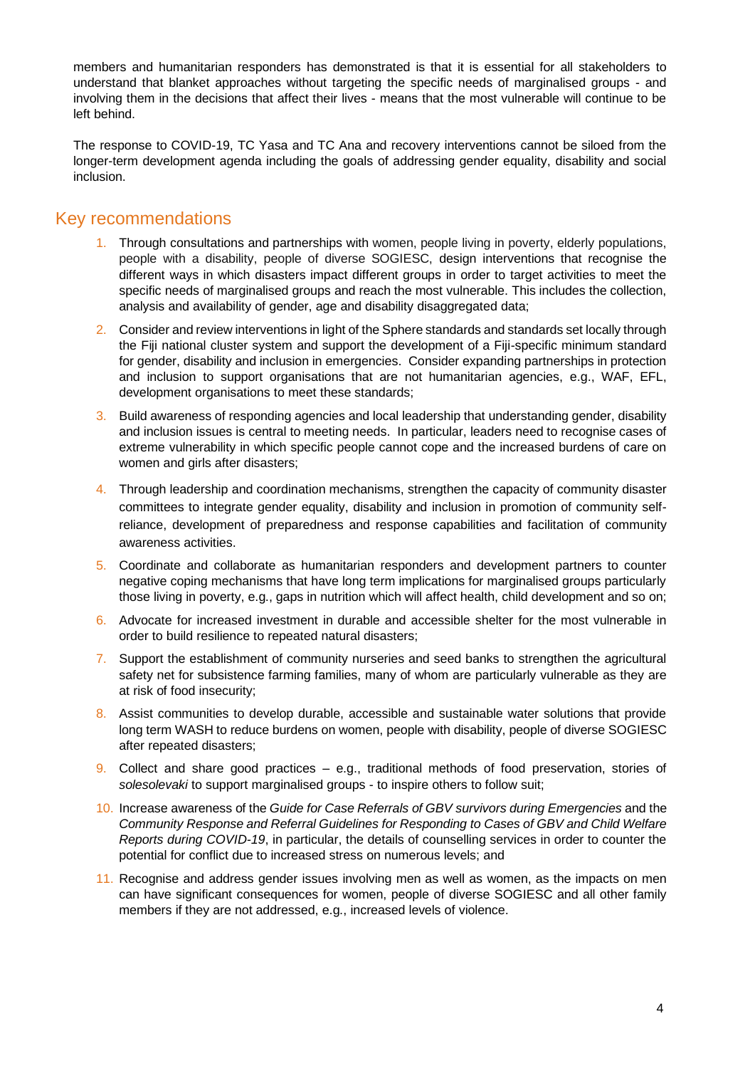members and humanitarian responders has demonstrated is that it is essential for all stakeholders to understand that blanket approaches without targeting the specific needs of marginalised groups - and involving them in the decisions that affect their lives - means that the most vulnerable will continue to be left behind.

The response to COVID-19, TC Yasa and TC Ana and recovery interventions cannot be siloed from the longer-term development agenda including the goals of addressing gender equality, disability and social inclusion.

### <span id="page-5-0"></span>Key recommendations

- 1. Through consultations and partnerships with women, people living in poverty, elderly populations, people with a disability, people of diverse SOGIESC, design interventions that recognise the different ways in which disasters impact different groups in order to target activities to meet the specific needs of marginalised groups and reach the most vulnerable. This includes the collection, analysis and availability of gender, age and disability disaggregated data;
- 2. Consider and review interventions in light of the Sphere standards and standards set locally through the Fiji national cluster system and support the development of a Fiji-specific minimum standard for gender, disability and inclusion in emergencies. Consider expanding partnerships in protection and inclusion to support organisations that are not humanitarian agencies, e.g., WAF, EFL, development organisations to meet these standards;
- 3. Build awareness of responding agencies and local leadership that understanding gender, disability and inclusion issues is central to meeting needs. In particular, leaders need to recognise cases of extreme vulnerability in which specific people cannot cope and the increased burdens of care on women and girls after disasters;
- 4. Through leadership and coordination mechanisms, strengthen the capacity of community disaster committees to integrate gender equality, disability and inclusion in promotion of community selfreliance, development of preparedness and response capabilities and facilitation of community awareness activities.
- 5. Coordinate and collaborate as humanitarian responders and development partners to counter negative coping mechanisms that have long term implications for marginalised groups particularly those living in poverty, e.g., gaps in nutrition which will affect health, child development and so on;
- 6. Advocate for increased investment in durable and accessible shelter for the most vulnerable in order to build resilience to repeated natural disasters;
- 7. Support the establishment of community nurseries and seed banks to strengthen the agricultural safety net for subsistence farming families, many of whom are particularly vulnerable as they are at risk of food insecurity;
- 8. Assist communities to develop durable, accessible and sustainable water solutions that provide long term WASH to reduce burdens on women, people with disability, people of diverse SOGIESC after repeated disasters;
- 9. Collect and share good practices e.g., traditional methods of food preservation, stories of *solesolevaki* to support marginalised groups - to inspire others to follow suit;
- 10. Increase awareness of the *Guide for Case Referrals of GBV survivors during Emergencies* and the *Community Response and Referral Guidelines for Responding to Cases of GBV and Child Welfare Reports during COVID-19*, in particular, the details of counselling services in order to counter the potential for conflict due to increased stress on numerous levels; and
- 11. Recognise and address gender issues involving men as well as women, as the impacts on men can have significant consequences for women, people of diverse SOGIESC and all other family members if they are not addressed, e.g., increased levels of violence.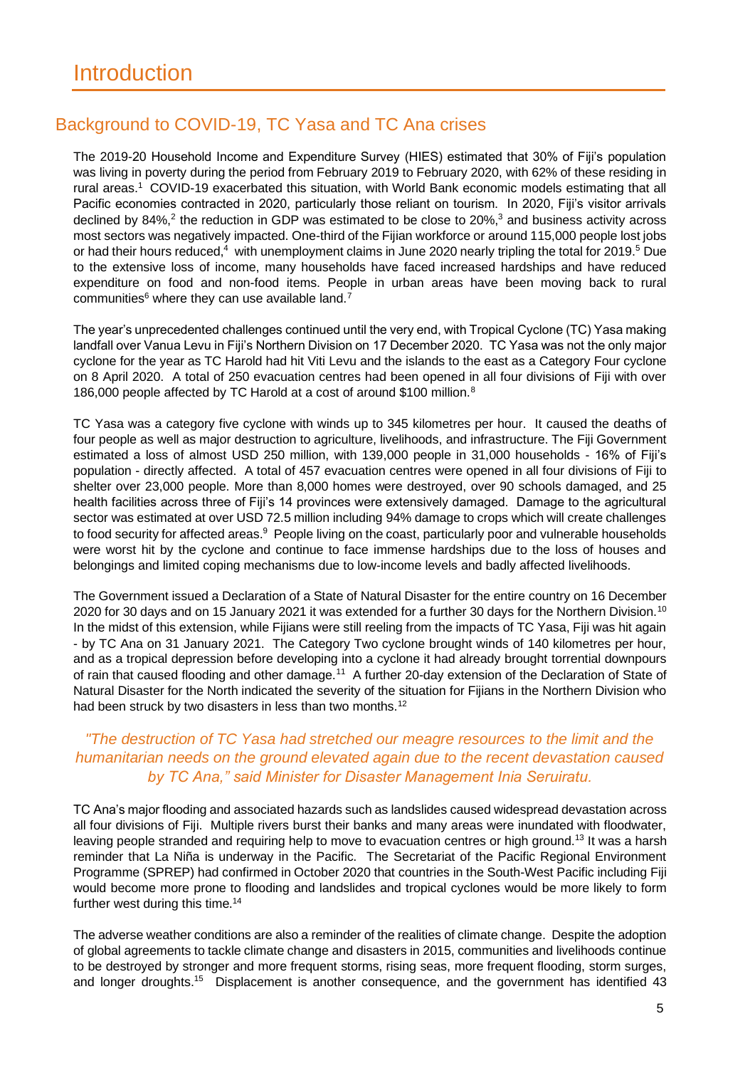### <span id="page-6-1"></span><span id="page-6-0"></span>Background to COVID-19, TC Yasa and TC Ana crises

The 2019-20 Household Income and Expenditure Survey (HIES) estimated that 30% of Fiji's population was living in poverty during the period from February 2019 to February 2020, with 62% of these residing in rural areas.<sup>1</sup> COVID-19 exacerbated this situation, with World Bank economic models estimating that all Pacific economies contracted in 2020, particularly those reliant on tourism. In 2020, Fiji's visitor arrivals declined by 84%,<sup>2</sup> the reduction in GDP was estimated to be close to 20%,<sup>3</sup> and business activity across most sectors was negatively impacted. One-third of the Fijian workforce or around 115,000 people lost jobs or had their hours reduced,<sup>4</sup> with unemployment claims in June 2020 nearly tripling the total for 2019.<sup>5</sup> Due to the extensive loss of income, many households have faced increased hardships and have reduced expenditure on food and non-food items. People in urban areas have been moving back to rural communities $6$  where they can use available land.<sup>7</sup>

The year's unprecedented challenges continued until the very end, with Tropical Cyclone (TC) Yasa making landfall over Vanua Levu in Fiji's Northern Division on 17 December 2020. TC Yasa was not the only major cyclone for the year as TC Harold had hit Viti Levu and the islands to the east as a Category Four cyclone on 8 April 2020. A total of 250 evacuation centres had been opened in all four divisions of Fiji with over 186,000 people affected by TC Harold at a cost of around \$100 million.<sup>8</sup>

TC Yasa was a category five cyclone with winds up to 345 kilometres per hour. It caused the deaths of four people as well as major destruction to agriculture, livelihoods, and infrastructure. The Fiji Government estimated a loss of almost USD 250 million, with 139,000 people in 31,000 households - 16% of Fiji's population - directly affected. A total of 457 evacuation centres were opened in all four divisions of Fiji to shelter over 23,000 people. More than 8,000 homes were destroyed, over 90 schools damaged, and 25 health facilities across three of Fiji's 14 provinces were extensively damaged. Damage to the agricultural sector was estimated at over USD 72.5 million including 94% damage to crops which will create challenges to food security for affected areas.<sup>9</sup> People living on the coast, particularly poor and vulnerable households were worst hit by the cyclone and continue to face immense hardships due to the loss of houses and belongings and limited coping mechanisms due to low-income levels and badly affected livelihoods.

The Government issued a Declaration of a State of Natural Disaster for the entire country on 16 December 2020 for 30 days and on 15 January 2021 it was extended for a further 30 days for the Northern Division.<sup>10</sup> In the midst of this extension, while Fijians were still reeling from the impacts of TC Yasa, Fiji was hit again - by TC Ana on 31 January 2021. The Category Two cyclone brought winds of 140 kilometres per hour, and as a tropical depression before developing into a cyclone it had already brought torrential downpours of rain that caused flooding and other damage.<sup>11</sup> A further 20-day extension of the Declaration of State of Natural Disaster for the North indicated the severity of the situation for Fijians in the Northern Division who had been struck by two disasters in less than two months.<sup>12</sup>

#### *"The destruction of TC Yasa had stretched our meagre resources to the limit and the humanitarian needs on the ground elevated again due to the recent devastation caused by TC Ana," said Minister for Disaster Management Inia Seruiratu.*

TC Ana's major flooding and associated hazards such as landslides caused widespread devastation across all four divisions of Fiji. Multiple rivers burst their banks and many areas were inundated with floodwater, leaving people stranded and requiring help to move to evacuation centres or high ground.<sup>13</sup> It was a harsh reminder that La Niña is underway in the Pacific. The Secretariat of the Pacific Regional Environment Programme (SPREP) had confirmed in October 2020 that countries in the South-West Pacific including Fiji would become more prone to flooding and landslides and tropical cyclones would be more likely to form further west during this time.<sup>14</sup>

The adverse weather conditions are also a reminder of the realities of climate change. Despite the adoption of global agreements to tackle climate change and disasters in 2015, communities and livelihoods continue to be destroyed by stronger and more frequent storms, rising seas, more frequent flooding, storm surges, and longer droughts.<sup>15</sup> Displacement is another consequence, and the government has identified 43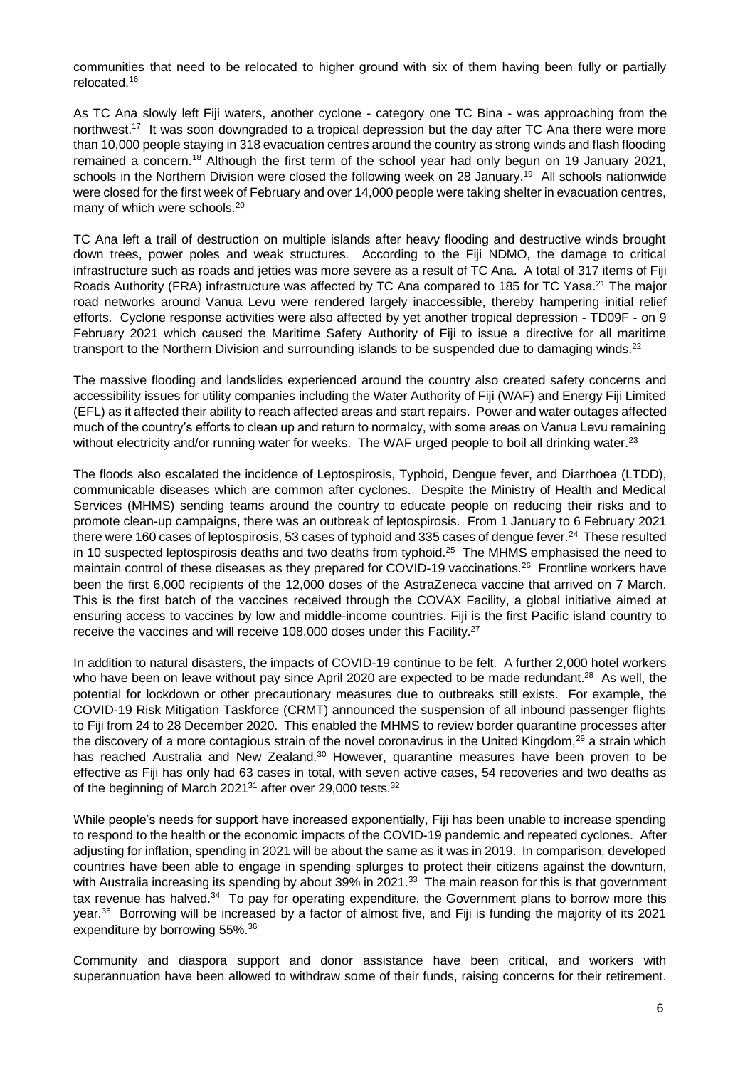communities that need to be relocated to higher ground with six of them having been fully or partially relocated.<sup>16</sup>

As TC Ana slowly left Fiji waters, another cyclone - category one TC Bina - was approaching from the northwest.<sup>17</sup> It was soon downgraded to a tropical depression but the day after TC Ana there were more than 10,000 people staying in 318 evacuation centres around the country as strong winds and flash flooding remained a concern.<sup>18</sup> Although the first term of the school year had only begun on 19 January 2021, schools in the Northern Division were closed the following week on 28 January.<sup>19</sup> All schools nationwide were closed for the first week of February and over 14,000 people were taking shelter in evacuation centres, many of which were schools.<sup>20</sup>

TC Ana left a trail of destruction on multiple islands after heavy flooding and destructive winds brought down trees, power poles and weak structures. According to the Fiji NDMO, the damage to critical infrastructure such as roads and jetties was more severe as a result of TC Ana. A total of 317 items of Fiji Roads Authority (FRA) infrastructure was affected by TC Ana compared to 185 for TC Yasa.<sup>21</sup> The major road networks around Vanua Levu were rendered largely inaccessible, thereby hampering initial relief efforts. Cyclone response activities were also affected by yet another tropical depression - TD09F - on 9 February 2021 which caused the Maritime Safety Authority of Fiji to issue a directive for all maritime transport to the Northern Division and surrounding islands to be suspended due to damaging winds.<sup>22</sup>

The massive flooding and landslides experienced around the country also created safety concerns and accessibility issues for utility companies including the Water Authority of Fiji (WAF) and Energy Fiji Limited (EFL) as it affected their ability to reach affected areas and start repairs. Power and water outages affected much of the country's efforts to clean up and return to normalcy, with some areas on Vanua Levu remaining without electricity and/or running water for weeks. The WAF urged people to boil all drinking water.<sup>23</sup>

The floods also escalated the incidence of Leptospirosis, Typhoid, Dengue fever, and Diarrhoea (LTDD), communicable diseases which are common after cyclones. Despite the Ministry of Health and Medical Services (MHMS) sending teams around the country to educate people on reducing their risks and to promote clean-up campaigns, there was an outbreak of leptospirosis. From 1 January to 6 February 2021 there were 160 cases of leptospirosis, 53 cases of typhoid and 335 cases of dengue fever.<sup>24</sup> These resulted in 10 suspected leptospirosis deaths and two deaths from typhoid.<sup>25</sup> The MHMS emphasised the need to maintain control of these diseases as they prepared for COVID-19 vaccinations.<sup>26</sup> Frontline workers have been the first 6,000 recipients of the 12,000 doses of the AstraZeneca vaccine that arrived on 7 March. This is the first batch of the vaccines received through the COVAX Facility, a global initiative aimed at ensuring access to vaccines by low and middle-income countries. Fiji is the first Pacific island country to receive the vaccines and will receive 108,000 doses under this Facility.<sup>27</sup>

In addition to natural disasters, the impacts of COVID-19 continue to be felt. A further 2,000 hotel workers who have been on leave without pay since April 2020 are expected to be made redundant.<sup>28</sup> As well, the potential for lockdown or other precautionary measures due to outbreaks still exists. For example, the COVID-19 Risk Mitigation Taskforce (CRMT) announced the suspension of all inbound passenger flights to Fiji from 24 to 28 December 2020. This enabled the MHMS to review border quarantine processes after the discovery of a more contagious strain of the novel coronavirus in the United Kingdom,<sup>29</sup> a strain which has reached Australia and New Zealand.<sup>30</sup> However, quarantine measures have been proven to be effective as Fiji has only had 63 cases in total, with seven active cases, 54 recoveries and two deaths as of the beginning of March 2021 $31$  after over 29,000 tests. $32$ 

While people's needs for support have increased exponentially, Fiji has been unable to increase spending to respond to the health or the economic impacts of the COVID-19 pandemic and repeated cyclones. After adjusting for inflation, spending in 2021 will be about the same as it was in 2019. In comparison, developed countries have been able to engage in spending splurges to protect their citizens against the downturn, with Australia increasing its spending by about 39% in 2021.<sup>33</sup> The main reason for this is that government tax revenue has halved.<sup>34</sup> To pay for operating expenditure, the Government plans to borrow more this year.<sup>35</sup> Borrowing will be increased by a factor of almost five, and Fiji is funding the majority of its 2021 expenditure by borrowing 55%.<sup>36</sup>

Community and diaspora support and donor assistance have been critical, and workers with superannuation have been allowed to withdraw some of their funds, raising concerns for their retirement.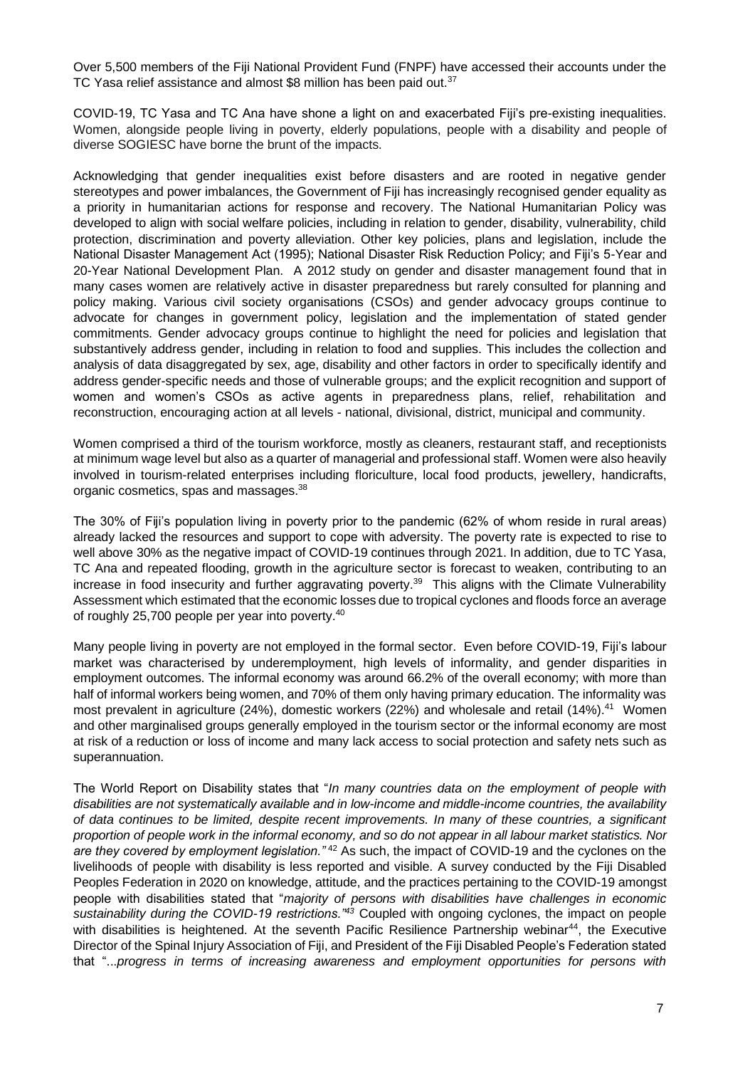Over 5,500 members of the Fiji National Provident Fund (FNPF) have accessed their accounts under the TC Yasa relief assistance and almost \$8 million has been paid out.<sup>37</sup>

COVID-19, TC Yasa and TC Ana have shone a light on and exacerbated Fiji's pre-existing inequalities. Women, alongside people living in poverty, elderly populations, people with a disability and people of diverse SOGIESC have borne the brunt of the impacts.

Acknowledging that gender inequalities exist before disasters and are rooted in negative gender stereotypes and power imbalances, the Government of Fiji has increasingly recognised gender equality as a priority in humanitarian actions for response and recovery. The National Humanitarian Policy was developed to align with social welfare policies, including in relation to gender, disability, vulnerability, child protection, discrimination and poverty alleviation. Other key policies, plans and legislation, include the National Disaster Management Act (1995); National Disaster Risk Reduction Policy; and Fiji's 5-Year and 20-Year National Development Plan. A 2012 study on gender and disaster management found that in many cases women are relatively active in disaster preparedness but rarely consulted for planning and policy making. Various civil society organisations (CSOs) and gender advocacy groups continue to advocate for changes in government policy, legislation and the implementation of stated gender commitments. Gender advocacy groups continue to highlight the need for policies and legislation that substantively address gender, including in relation to food and supplies. This includes the collection and analysis of data disaggregated by sex, age, disability and other factors in order to specifically identify and address gender-specific needs and those of vulnerable groups; and the explicit recognition and support of women and women's CSOs as active agents in preparedness plans, relief, rehabilitation and reconstruction, encouraging action at all levels - national, divisional, district, municipal and community.

Women comprised a third of the tourism workforce, mostly as cleaners, restaurant staff, and receptionists at minimum wage level but also as a quarter of managerial and professional staff. Women were also heavily involved in tourism-related enterprises including floriculture, local food products, jewellery, handicrafts, organic cosmetics, spas and massages.<sup>38</sup>

The 30% of Fiji's population living in poverty prior to the pandemic (62% of whom reside in rural areas) already lacked the resources and support to cope with adversity. The poverty rate is expected to rise to well above 30% as the negative impact of COVID-19 continues through 2021. In addition, due to TC Yasa, TC Ana and repeated flooding, growth in the agriculture sector is forecast to weaken, contributing to an increase in food insecurity and further aggravating poverty.<sup>39</sup> This aligns with the Climate Vulnerability Assessment which estimated that the economic losses due to tropical cyclones and floods force an average of roughly 25,700 people per year into poverty.<sup>40</sup>

Many people living in poverty are not employed in the formal sector. Even before COVID-19, Fiji's labour market was characterised by underemployment, high levels of informality, and gender disparities in employment outcomes. The informal economy was around 66.2% of the overall economy; with more than half of informal workers being women, and 70% of them only having primary education. The informality was most prevalent in agriculture (24%), domestic workers (22%) and wholesale and retail (14%).<sup>41</sup> Women and other marginalised groups generally employed in the tourism sector or the informal economy are most at risk of a reduction or loss of income and many lack access to social protection and safety nets such as superannuation.

The World Report on Disability states that "*In many countries data on the employment of people with disabilities are not systematically available and in low-income and middle-income countries, the availability of data continues to be limited, despite recent improvements. In many of these countries, a significant proportion of people work in the informal economy, and so do not appear in all labour market statistics. Nor are they covered by employment legislation."* <sup>42</sup> As such, the impact of COVID-19 and the cyclones on the livelihoods of people with disability is less reported and visible. A survey conducted by the Fiji Disabled Peoples Federation in 2020 on knowledge, attitude, and the practices pertaining to the COVID-19 amongst people with disabilities stated that "*majority of persons with disabilities have challenges in economic sustainability during the COVID-19 restrictions."<sup>43</sup>* Coupled with ongoing cyclones, the impact on people with disabilities is heightened. At the seventh Pacific Resilience Partnership webinar<sup>44</sup>, the Executive Director of the Spinal Injury Association of Fiji, and President of the Fiji Disabled People's Federation stated that "...*progress in terms of increasing awareness and employment opportunities for persons with*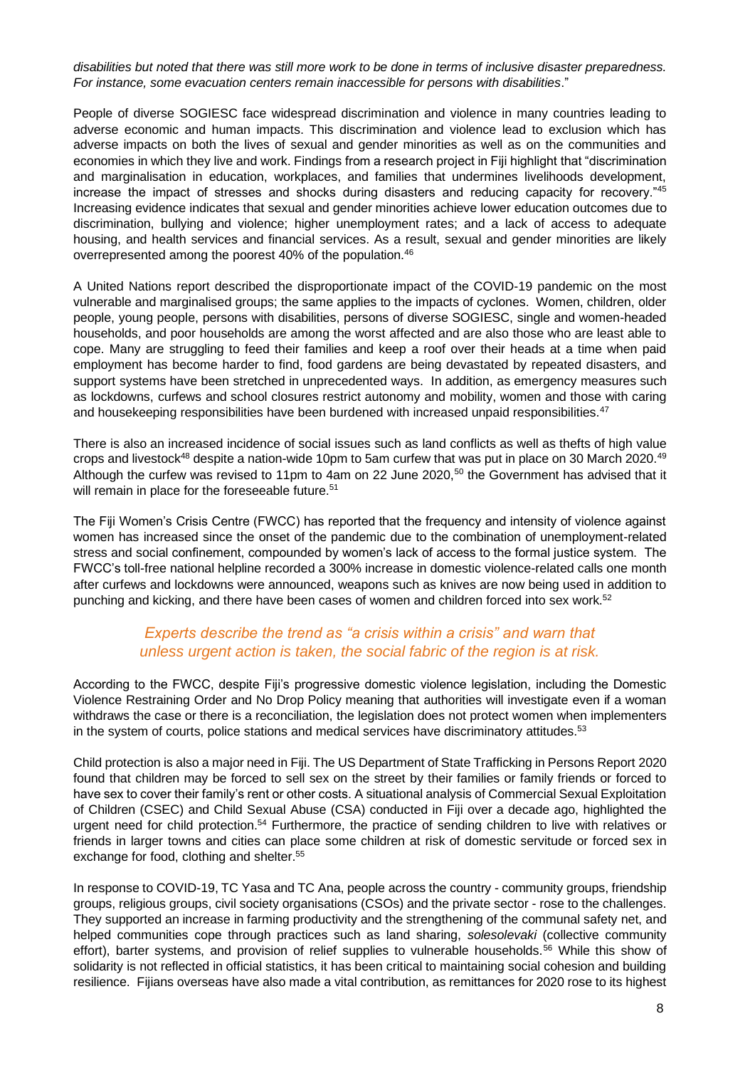#### *disabilities but noted that there was still more work to be done in terms of inclusive disaster preparedness. For instance, some evacuation centers remain inaccessible for persons with disabilities*."

People of diverse SOGIESC face widespread discrimination and violence in many countries leading to adverse economic and human impacts. This discrimination and violence lead to exclusion which has adverse impacts on both the lives of sexual and gender minorities as well as on the communities and economies in which they live and work. Findings from a research project in Fiji highlight that "discrimination and marginalisation in education, workplaces, and families that undermines livelihoods development, increase the impact of stresses and shocks during disasters and reducing capacity for recovery."<sup>45</sup> Increasing evidence indicates that sexual and gender minorities achieve lower education outcomes due to discrimination, bullying and violence; higher unemployment rates; and a lack of access to adequate housing, and health services and financial services. As a result, sexual and gender minorities are likely overrepresented among the poorest 40% of the population.<sup>46</sup>

A United Nations report described the disproportionate impact of the COVID-19 pandemic on the most vulnerable and marginalised groups; the same applies to the impacts of cyclones. Women, children, older people, young people, persons with disabilities, persons of diverse SOGIESC, single and women-headed households, and poor households are among the worst affected and are also those who are least able to cope. Many are struggling to feed their families and keep a roof over their heads at a time when paid employment has become harder to find, food gardens are being devastated by repeated disasters, and support systems have been stretched in unprecedented ways. In addition, as emergency measures such as lockdowns, curfews and school closures restrict autonomy and mobility, women and those with caring and housekeeping responsibilities have been burdened with increased unpaid responsibilities.<sup>47</sup>

There is also an increased incidence of social issues such as land conflicts as well as thefts of high value crops and livestock<sup>48</sup> despite a nation-wide 10pm to 5am curfew that was put in place on 30 March 2020.<sup>49</sup> Although the curfew was revised to 11pm to 4am on 22 June 2020,<sup>50</sup> the Government has advised that it will remain in place for the foreseeable future.<sup>51</sup>

The Fiji Women's Crisis Centre (FWCC) has reported that the frequency and intensity of violence against women has increased since the onset of the pandemic due to the combination of unemployment-related stress and social confinement, compounded by women's lack of access to the formal justice system. The FWCC's toll-free national helpline recorded a 300% increase in domestic violence-related calls one month after curfews and lockdowns were announced, weapons such as knives are now being used in addition to punching and kicking, and there have been cases of women and children forced into sex work.<sup>52</sup>

#### *Experts describe the trend as "a crisis within a crisis" and warn that unless urgent action is taken, the social fabric of the region is at risk.*

According to the FWCC, despite Fiji's progressive domestic violence legislation, including the Domestic Violence Restraining Order and No Drop Policy meaning that authorities will investigate even if a woman withdraws the case or there is a reconciliation, the legislation does not protect women when implementers in the system of courts, police stations and medical services have discriminatory attitudes.<sup>53</sup>

Child protection is also a major need in Fiji. The US Department of State Trafficking in Persons Report 2020 found that children may be forced to sell sex on the street by their families or family friends or forced to have sex to cover their family's rent or other costs. A situational analysis of Commercial Sexual Exploitation of Children (CSEC) and Child Sexual Abuse (CSA) conducted in Fiji over a decade ago, highlighted the urgent need for child protection.<sup>54</sup> Furthermore, the practice of sending children to live with relatives or friends in larger towns and cities can place some children at risk of domestic servitude or forced sex in exchange for food, clothing and shelter.<sup>55</sup>

In response to COVID-19, TC Yasa and TC Ana, people across the country - community groups, friendship groups, religious groups, civil society organisations (CSOs) and the private sector - rose to the challenges. They supported an increase in farming productivity and the strengthening of the communal safety net, and helped communities cope through practices such as land sharing, *solesolevaki* (collective community effort), barter systems, and provision of relief supplies to vulnerable households.<sup>56</sup> While this show of solidarity is not reflected in official statistics, it has been critical to maintaining social cohesion and building resilience. Fijians overseas have also made a vital contribution, as remittances for 2020 rose to its highest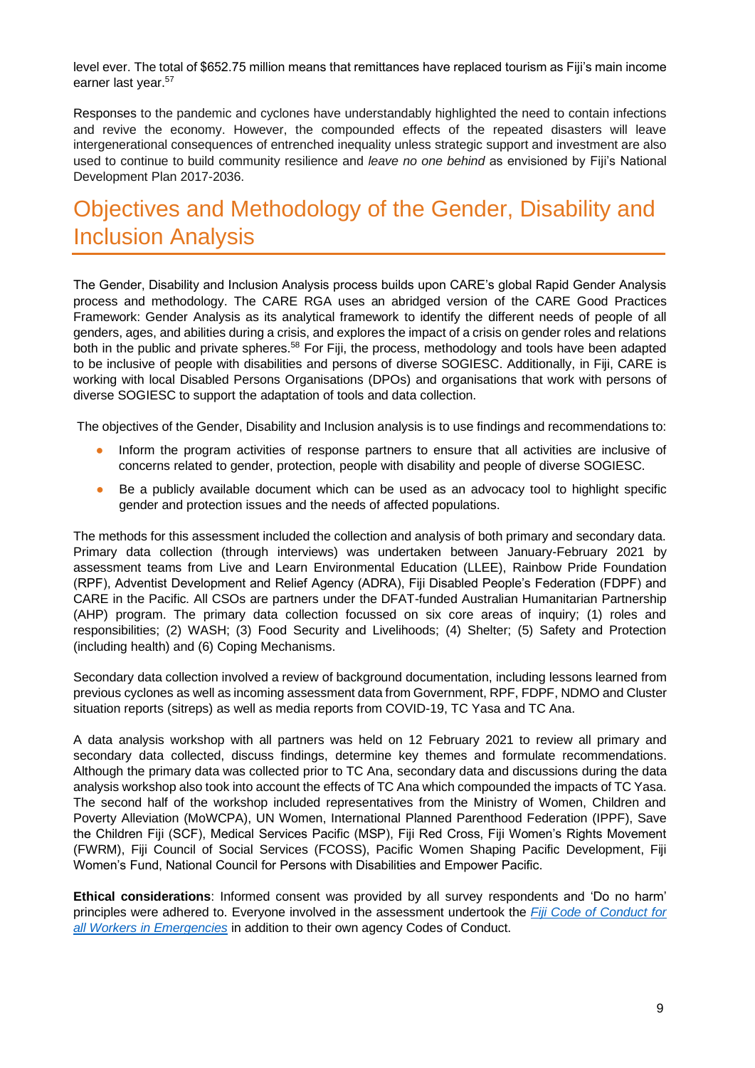level ever. The total of \$652.75 million means that remittances have replaced tourism as Fiji's main income earner last year.<sup>57</sup>

Responses to the pandemic and cyclones have understandably highlighted the need to contain infections and revive the economy. However, the compounded effects of the repeated disasters will leave intergenerational consequences of entrenched inequality unless strategic support and investment are also used to continue to build community resilience and *leave no one behind* as envisioned by Fiji's National Development Plan 2017-2036.

# <span id="page-10-0"></span>Objectives and Methodology of the Gender, Disability and Inclusion Analysis

The Gender, Disability and Inclusion Analysis process builds upon CARE's global Rapid Gender Analysis process and methodology. The CARE RGA uses an abridged version of the CARE Good Practices Framework: Gender Analysis as its analytical framework to identify the different needs of people of all genders, ages, and abilities during a crisis, and explores the impact of a crisis on gender roles and relations both in the public and private spheres.<sup>58</sup> For Fiji, the process, methodology and tools have been adapted to be inclusive of people with disabilities and persons of diverse SOGIESC. Additionally, in Fiji, CARE is working with local Disabled Persons Organisations (DPOs) and organisations that work with persons of diverse SOGIESC to support the adaptation of tools and data collection.

The objectives of the Gender, Disability and Inclusion analysis is to use findings and recommendations to:

- Inform the program activities of response partners to ensure that all activities are inclusive of concerns related to gender, protection, people with disability and people of diverse SOGIESC.
- Be a publicly available document which can be used as an advocacy tool to highlight specific gender and protection issues and the needs of affected populations.

The methods for this assessment included the collection and analysis of both primary and secondary data. Primary data collection (through interviews) was undertaken between January-February 2021 by assessment teams from Live and Learn Environmental Education (LLEE), Rainbow Pride Foundation (RPF), Adventist Development and Relief Agency (ADRA), Fiji Disabled People's Federation (FDPF) and CARE in the Pacific. All CSOs are partners under the DFAT-funded Australian Humanitarian Partnership (AHP) program. The primary data collection focussed on six core areas of inquiry; (1) roles and responsibilities; (2) WASH; (3) Food Security and Livelihoods; (4) Shelter; (5) Safety and Protection (including health) and (6) Coping Mechanisms.

Secondary data collection involved a review of background documentation, including lessons learned from previous cyclones as well as incoming assessment data from Government, RPF, FDPF, NDMO and Cluster situation reports (sitreps) as well as media reports from COVID-19, TC Yasa and TC Ana.

A data analysis workshop with all partners was held on 12 February 2021 to review all primary and secondary data collected, discuss findings, determine key themes and formulate recommendations. Although the primary data was collected prior to TC Ana, secondary data and discussions during the data analysis workshop also took into account the effects of TC Ana which compounded the impacts of TC Yasa. The second half of the workshop included representatives from the Ministry of Women, Children and Poverty Alleviation (MoWCPA), UN Women, International Planned Parenthood Federation (IPPF), Save the Children Fiji (SCF), Medical Services Pacific (MSP), Fiji Red Cross, Fiji Women's Rights Movement (FWRM), Fiji Council of Social Services (FCOSS), Pacific Women Shaping Pacific Development, Fiji Women's Fund, National Council for Persons with Disabilities and Empower Pacific.

**Ethical considerations**: Informed consent was provided by all survey respondents and 'Do no harm' principles were adhered to. Everyone involved in the assessment undertook the *[Fiji Code of Conduct for](https://www.google.com/url?sa=t&rct=j&q=&esrc=s&source=web&cd=&ved=2ahUKEwiM_ZTP3YvwAhVdyjgGHVmGDtgQFjABegQIBBAD&url=https%3A%2F%2Fwww.sheltercluster.org%2Fsites%2Fdefault%2Ffiles%2Fdocs%2F9_code_of_conduct_for_all_workers_in_emergencies.pdf&usg=AOvVaw1SgReglOjHuhmPkHz_mNGu)  [all Workers in Emergencies](https://www.google.com/url?sa=t&rct=j&q=&esrc=s&source=web&cd=&ved=2ahUKEwiM_ZTP3YvwAhVdyjgGHVmGDtgQFjABegQIBBAD&url=https%3A%2F%2Fwww.sheltercluster.org%2Fsites%2Fdefault%2Ffiles%2Fdocs%2F9_code_of_conduct_for_all_workers_in_emergencies.pdf&usg=AOvVaw1SgReglOjHuhmPkHz_mNGu)* in addition to their own agency Codes of Conduct.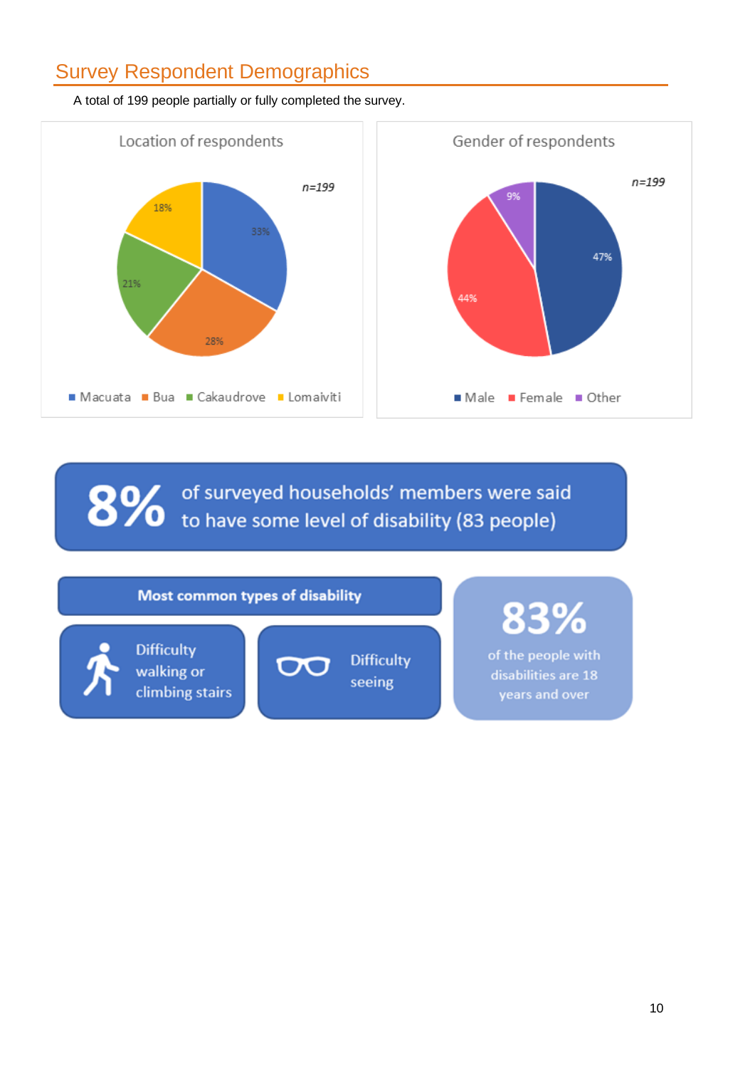# <span id="page-11-0"></span>Survey Respondent Demographics



A total of 199 people partially or fully completed the survey.

of surveyed households' members were said 8%  $\bullet$  to have some level of disability (83 people)

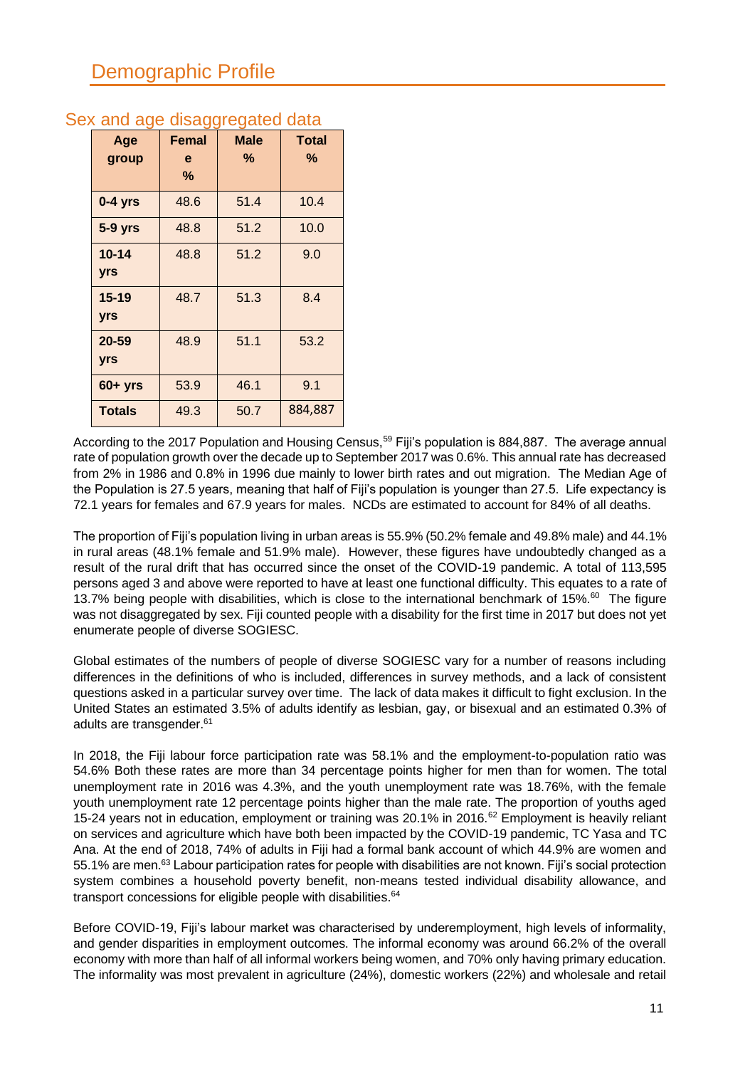| Age<br>group        | <b>Femal</b><br>e<br>% | <b>Male</b><br>% | <b>Total</b><br>℅ |
|---------------------|------------------------|------------------|-------------------|
| $0-4$ yrs           | 48.6                   | 51.4             | 10.4              |
| <b>5-9 yrs</b>      | 48.8                   | 51.2             | 10.0              |
| $10 - 14$<br>yrs    | 48.8                   | 51.2             | 9.0               |
| $15 - 19$<br>yrs    | 48.7                   | 51.3             | 8.4               |
| 20-59<br><b>yrs</b> | 48.9                   | 51.1             | 53.2              |
| $60 + yrs$          | 53.9                   | 46.1             | 9.1               |
| <b>Totals</b>       | 49.3                   | 50.7             | 884,887           |

### <span id="page-12-0"></span>Sex and age disaggregated data

According to the 2017 Population and Housing Census,<sup>59</sup> Fiji's population is 884,887. The average annual rate of population growth over the decade up to September 2017 was 0.6%. This annual rate has decreased from 2% in 1986 and 0.8% in 1996 due mainly to lower birth rates and out migration. The Median Age of the Population is 27.5 years, meaning that half of Fiji's population is younger than 27.5. Life expectancy is 72.1 years for females and 67.9 years for males. NCDs are estimated to account for 84% of all deaths.

The proportion of Fiji's population living in urban areas is 55.9% (50.2% female and 49.8% male) and 44.1% in rural areas (48.1% female and 51.9% male). However, these figures have undoubtedly changed as a result of the rural drift that has occurred since the onset of the COVID-19 pandemic. A total of 113,595 persons aged 3 and above were reported to have at least one functional difficulty. This equates to a rate of 13.7% being people with disabilities, which is close to the international benchmark of 15%.<sup>60</sup> The figure was not disaggregated by sex. Fiji counted people with a disability for the first time in 2017 but does not yet enumerate people of diverse SOGIESC.

Global estimates of the numbers of people of diverse SOGIESC vary for a number of reasons including differences in the definitions of who is included, differences in survey methods, and a lack of consistent questions asked in a particular survey over time. The lack of data makes it difficult to fight exclusion. In the United States an estimated 3.5% of adults identify as lesbian, gay, or bisexual and an estimated 0.3% of adults are transgender.<sup>61</sup>

In 2018, the Fiji labour force participation rate was 58.1% and the employment-to-population ratio was 54.6% Both these rates are more than 34 percentage points higher for men than for women. The total unemployment rate in 2016 was 4.3%, and the youth unemployment rate was 18.76%, with the female youth unemployment rate 12 percentage points higher than the male rate. The proportion of youths aged 15-24 years not in education, employment or training was 20.1% in 2016.<sup>62</sup> Employment is heavily reliant on services and agriculture which have both been impacted by the COVID-19 pandemic, TC Yasa and TC Ana. At the end of 2018, 74% of adults in Fiji had a formal bank account of which 44.9% are women and 55.1% are men.<sup>63</sup> Labour participation rates for people with disabilities are not known. Fiji's social protection system combines a household poverty benefit, non-means tested individual disability allowance, and transport concessions for eligible people with disabilities.<sup>64</sup>

Before COVID-19, Fiji's labour market was characterised by underemployment, high levels of informality, and gender disparities in employment outcomes. The informal economy was around 66.2% of the overall economy with more than half of all informal workers being women, and 70% only having primary education. The informality was most prevalent in agriculture (24%), domestic workers (22%) and wholesale and retail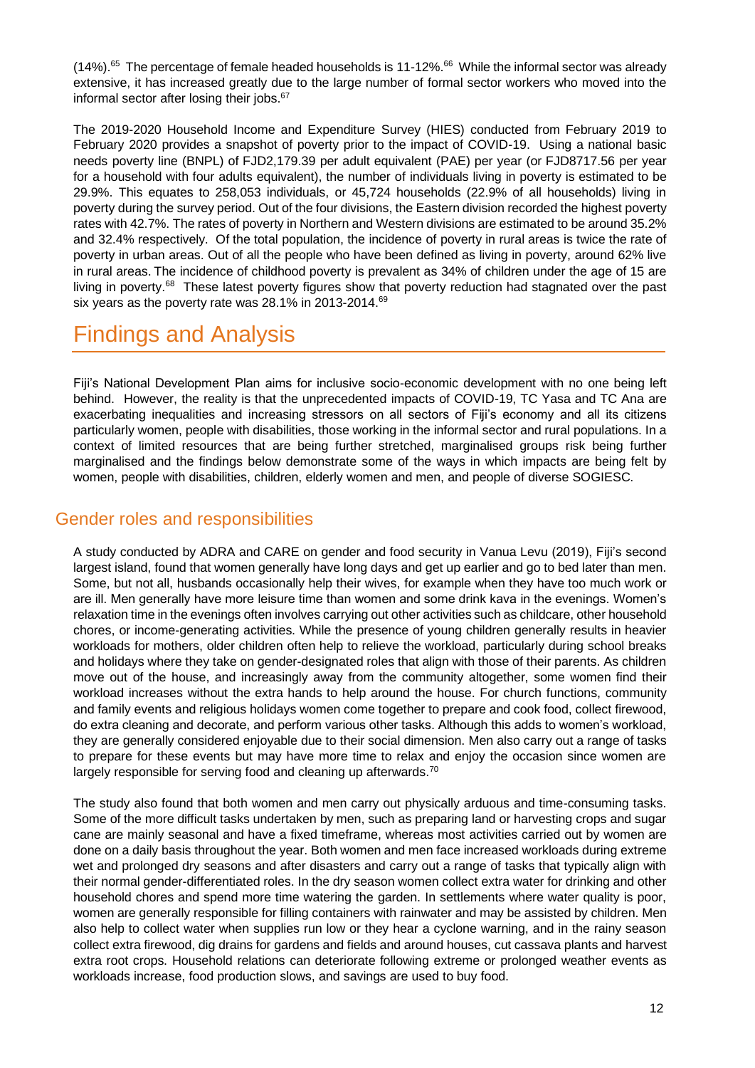$(14%)$ .<sup>65</sup> The percentage of female headed households is 11-12%.<sup>66</sup> While the informal sector was already extensive, it has increased greatly due to the large number of formal sector workers who moved into the informal sector after losing their jobs.<sup>67</sup>

The 2019-2020 Household Income and Expenditure Survey (HIES) conducted from February 2019 to February 2020 provides a snapshot of poverty prior to the impact of COVID-19. Using a national basic needs poverty line (BNPL) of FJD2,179.39 per adult equivalent (PAE) per year (or FJD8717.56 per year for a household with four adults equivalent), the number of individuals living in poverty is estimated to be 29.9%. This equates to 258,053 individuals, or 45,724 households (22.9% of all households) living in poverty during the survey period. Out of the four divisions, the Eastern division recorded the highest poverty rates with 42.7%. The rates of poverty in Northern and Western divisions are estimated to be around 35.2% and 32.4% respectively. Of the total population, the incidence of poverty in rural areas is twice the rate of poverty in urban areas. Out of all the people who have been defined as living in poverty, around 62% live in rural areas. The incidence of childhood poverty is prevalent as 34% of children under the age of 15 are living in poverty.<sup>68</sup> These latest poverty figures show that poverty reduction had stagnated over the past six years as the poverty rate was [28.1% in 2013-2014.](https://www.statsfiji.gov.fj/index.php/statistics/social-statistics/poverty-indicators)<sup>69</sup>

# <span id="page-13-0"></span>Findings and Analysis

Fiji's National Development Plan aims for inclusive socio-economic development with no one being left behind. However, the reality is that the unprecedented impacts of COVID-19, TC Yasa and TC Ana are exacerbating inequalities and increasing stressors on all sectors of Fiji's economy and all its citizens particularly women, people with disabilities, those working in the informal sector and rural populations. In a context of limited resources that are being further stretched, marginalised groups risk being further marginalised and the findings below demonstrate some of the ways in which impacts are being felt by women, people with disabilities, children, elderly women and men, and people of diverse SOGIESC.

### <span id="page-13-1"></span>Gender roles and responsibilities

A study conducted by ADRA and CARE on gender and food security in Vanua Levu (2019), Fiji's second largest island, found that women generally have long days and get up earlier and go to bed later than men. Some, but not all, husbands occasionally help their wives, for example when they have too much work or are ill. Men generally have more leisure time than women and some drink kava in the evenings. Women's relaxation time in the evenings often involves carrying out other activities such as childcare, other household chores, or income-generating activities. While the presence of young children generally results in heavier workloads for mothers, older children often help to relieve the workload, particularly during school breaks and holidays where they take on gender-designated roles that align with those of their parents. As children move out of the house, and increasingly away from the community altogether, some women find their workload increases without the extra hands to help around the house. For church functions, community and family events and religious holidays women come together to prepare and cook food, collect firewood, do extra cleaning and decorate, and perform various other tasks. Although this adds to women's workload, they are generally considered enjoyable due to their social dimension. Men also carry out a range of tasks to prepare for these events but may have more time to relax and enjoy the occasion since women are largely responsible for serving food and cleaning up afterwards.<sup>70</sup>

The study also found that both women and men carry out physically arduous and time-consuming tasks. Some of the more difficult tasks undertaken by men, such as preparing land or harvesting crops and sugar cane are mainly seasonal and have a fixed timeframe, whereas most activities carried out by women are done on a daily basis throughout the year. Both women and men face increased workloads during extreme wet and prolonged dry seasons and after disasters and carry out a range of tasks that typically align with their normal gender-differentiated roles. In the dry season women collect extra water for drinking and other household chores and spend more time watering the garden. In settlements where water quality is poor, women are generally responsible for filling containers with rainwater and may be assisted by children. Men also help to collect water when supplies run low or they hear a cyclone warning, and in the rainy season collect extra firewood, dig drains for gardens and fields and around houses, cut cassava plants and harvest extra root crops. Household relations can deteriorate following extreme or prolonged weather events as workloads increase, food production slows, and savings are used to buy food.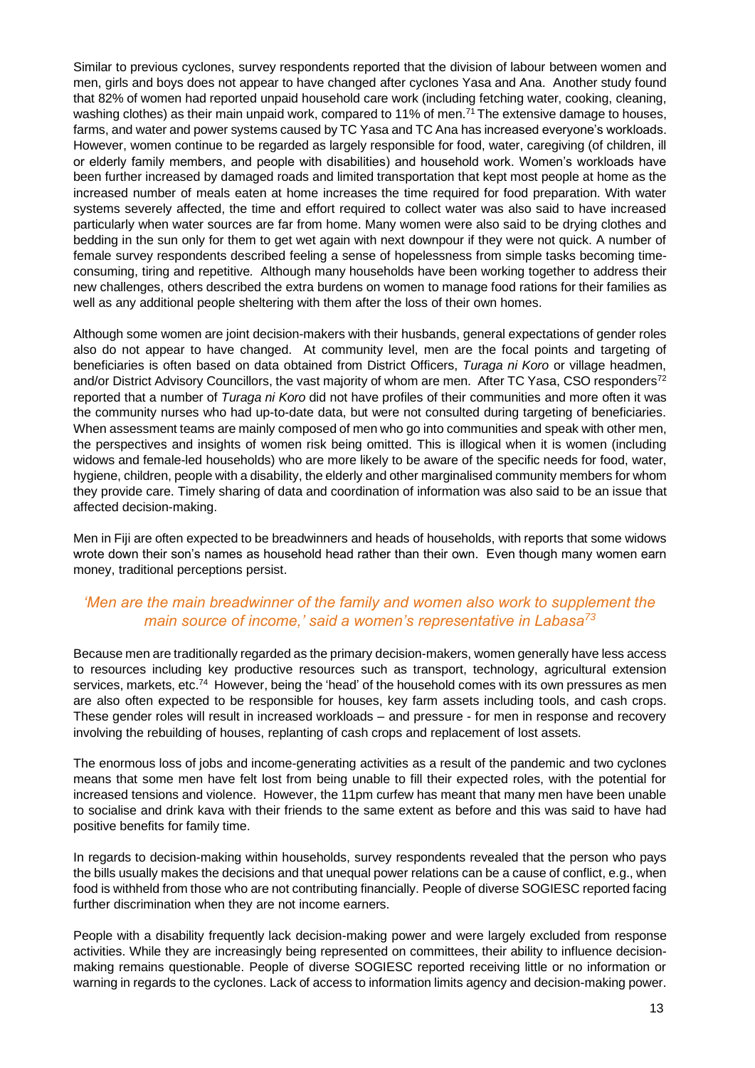Similar to previous cyclones, survey respondents reported that the division of labour between women and men, girls and boys does not appear to have changed after cyclones Yasa and Ana. Another study found that 82% of women had reported unpaid household care work (including fetching water, cooking, cleaning, washing clothes) as their main unpaid work, compared to 11% of men.<sup>71</sup> The extensive damage to houses, farms, and water and power systems caused by TC Yasa and TC Ana has increased everyone's workloads. However, women continue to be regarded as largely responsible for food, water, caregiving (of children, ill or elderly family members, and people with disabilities) and household work. Women's workloads have been further increased by damaged roads and limited transportation that kept most people at home as the increased number of meals eaten at home increases the time required for food preparation. With water systems severely affected, the time and effort required to collect water was also said to have increased particularly when water sources are far from home. Many women were also said to be drying clothes and bedding in the sun only for them to get wet again with next downpour if they were not quick. A number of female survey respondents described feeling a sense of hopelessness from simple tasks becoming timeconsuming, tiring and repetitive. Although many households have been working together to address their new challenges, others described the extra burdens on women to manage food rations for their families as well as any additional people sheltering with them after the loss of their own homes.

Although some women are joint decision-makers with their husbands, general expectations of gender roles also do not appear to have changed. At community level, men are the focal points and targeting of beneficiaries is often based on data obtained from District Officers, *Turaga ni Koro* or village headmen, and/or District Advisory Councillors, the vast majority of whom are men. After TC Yasa, CSO responders<sup>72</sup> reported that a number of *Turaga ni Koro* did not have profiles of their communities and more often it was the community nurses who had up-to-date data, but were not consulted during targeting of beneficiaries. When assessment teams are mainly composed of men who go into communities and speak with other men, the perspectives and insights of women risk being omitted. This is illogical when it is women (including widows and female-led households) who are more likely to be aware of the specific needs for food, water, hygiene, children, people with a disability, the elderly and other marginalised community members for whom they provide care. Timely sharing of data and coordination of information was also said to be an issue that affected decision-making.

Men in Fiji are often expected to be breadwinners and heads of households, with reports that some widows wrote down their son's names as household head rather than their own. Even though many women earn money, traditional perceptions persist.

#### *'Men are the main breadwinner of the family and women also work to supplement the main source of income,' said a women's representative in Labasa<sup>73</sup>*

Because men are traditionally regarded as the primary decision-makers, women generally have less access to resources including key productive resources such as transport, technology, agricultural extension services, markets, etc.<sup>74</sup> However, being the 'head' of the household comes with its own pressures as men are also often expected to be responsible for houses, key farm assets including tools, and cash crops. These gender roles will result in increased workloads – and pressure - for men in response and recovery involving the rebuilding of houses, replanting of cash crops and replacement of lost assets.

The enormous loss of jobs and income-generating activities as a result of the pandemic and two cyclones means that some men have felt lost from being unable to fill their expected roles, with the potential for increased tensions and violence. However, the 11pm curfew has meant that many men have been unable to socialise and drink kava with their friends to the same extent as before and this was said to have had positive benefits for family time.

In regards to decision-making within households, survey respondents revealed that the person who pays the bills usually makes the decisions and that unequal power relations can be a cause of conflict, e.g., when food is withheld from those who are not contributing financially. People of diverse SOGIESC reported facing further discrimination when they are not income earners.

People with a disability frequently lack decision-making power and were largely excluded from response activities. While they are increasingly being represented on committees, their ability to influence decisionmaking remains questionable. People of diverse SOGIESC reported receiving little or no information or warning in regards to the cyclones. Lack of access to information limits agency and decision-making power.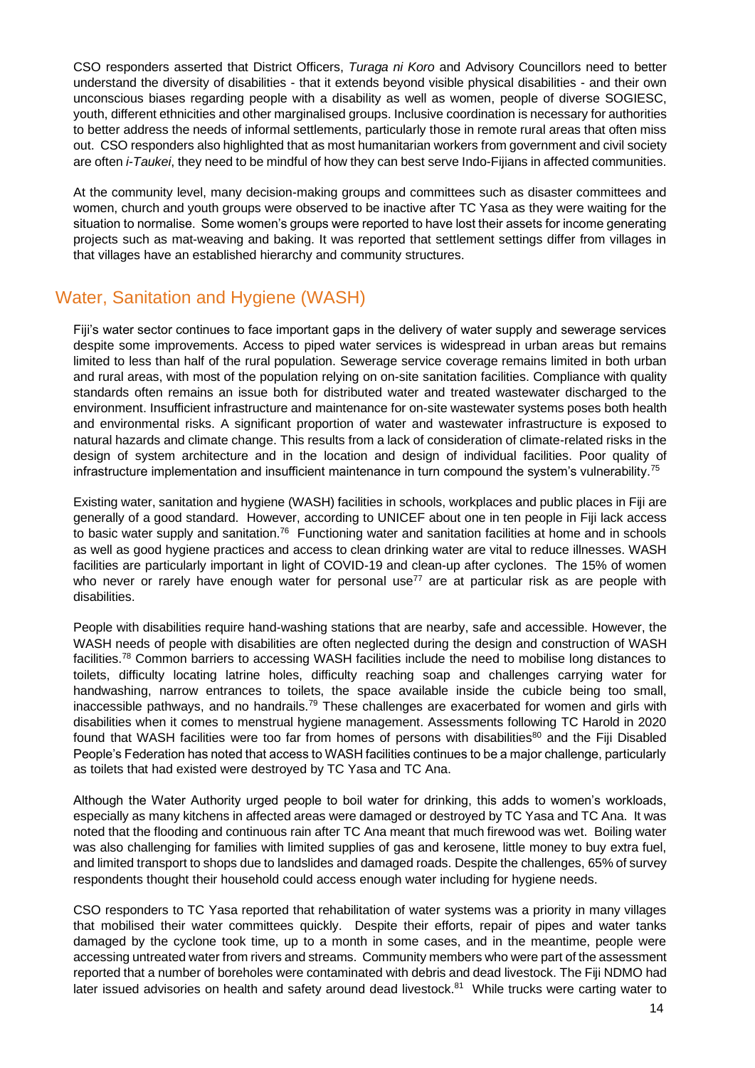CSO responders asserted that District Officers, *Turaga ni Koro* and Advisory Councillors need to better understand the diversity of disabilities - that it extends beyond visible physical disabilities - and their own unconscious biases regarding people with a disability as well as women, people of diverse SOGIESC, youth, different ethnicities and other marginalised groups. Inclusive coordination is necessary for authorities to better address the needs of informal settlements, particularly those in remote rural areas that often miss out. CSO responders also highlighted that as most humanitarian workers from government and civil society are often *i-Taukei*, they need to be mindful of how they can best serve Indo-Fijians in affected communities.

At the community level, many decision-making groups and committees such as disaster committees and women, church and youth groups were observed to be inactive after TC Yasa as they were waiting for the situation to normalise. Some women's groups were reported to have lost their assets for income generating projects such as mat-weaving and baking. It was reported that settlement settings differ from villages in that villages have an established hierarchy and community structures.

### <span id="page-15-0"></span>Water, Sanitation and Hygiene (WASH)

Fiji's water sector continues to face important gaps in the delivery of water supply and sewerage services despite some improvements. Access to piped water services is widespread in urban areas but remains limited to less than half of the rural population. Sewerage service coverage remains limited in both urban and rural areas, with most of the population relying on on-site sanitation facilities. Compliance with quality standards often remains an issue both for distributed water and treated wastewater discharged to the environment. Insufficient infrastructure and maintenance for on-site wastewater systems poses both health and environmental risks. A significant proportion of water and wastewater infrastructure is exposed to natural hazards and climate change. This results from a lack of consideration of climate-related risks in the design of system architecture and in the location and design of individual facilities. Poor quality of infrastructure implementation and insufficient maintenance in turn compound the system's vulnerability.<sup>75</sup>

Existing water, sanitation and hygiene (WASH) facilities in schools, workplaces and public places in Fiji are generally of a good standard. However, according to UNICEF about one in ten people in Fiji lack access to basic water supply and sanitation.<sup>76</sup> Functioning water and sanitation facilities at home and in schools as well as good hygiene practices and access to clean drinking water are vital to reduce illnesses. WASH facilities are particularly important in light of COVID-19 and clean-up after cyclones. The 15% of women who never or rarely have enough water for personal use<sup>77</sup> are at particular risk as are people with disabilities.

People with disabilities require hand-washing stations that are nearby, safe and accessible. However, the WASH needs of people with disabilities are often neglected during the design and construction of WASH facilities.<sup>78</sup> Common barriers to accessing WASH facilities include the need to mobilise long distances to toilets, difficulty locating latrine holes, difficulty reaching soap and challenges carrying water for handwashing, narrow entrances to toilets, the space available inside the cubicle being too small, inaccessible pathways, and no handrails.<sup>79</sup> These challenges are exacerbated for women and girls with disabilities when it comes to menstrual hygiene management. Assessments following TC Harold in 2020 found that WASH facilities were too far from homes of persons with disabilities<sup>80</sup> and the Fiji Disabled People's Federation has noted that access to WASH facilities continues to be a major challenge, particularly as toilets that had existed were destroyed by TC Yasa and TC Ana.

Although the Water Authority urged people to boil water for drinking, this adds to women's workloads, especially as many kitchens in affected areas were damaged or destroyed by TC Yasa and TC Ana. It was noted that the flooding and continuous rain after TC Ana meant that much firewood was wet. Boiling water was also challenging for families with limited supplies of gas and kerosene, little money to buy extra fuel, and limited transport to shops due to landslides and damaged roads. Despite the challenges, 65% of survey respondents thought their household could access enough water including for hygiene needs.

CSO responders to TC Yasa reported that rehabilitation of water systems was a priority in many villages that mobilised their water committees quickly. Despite their efforts, repair of pipes and water tanks damaged by the cyclone took time, up to a month in some cases, and in the meantime, people were accessing untreated water from rivers and streams. Community members who were part of the assessment reported that a number of boreholes were contaminated with debris and dead livestock. The Fiji NDMO had later issued advisories on health and safety around dead livestock.<sup>81</sup> While trucks were carting water to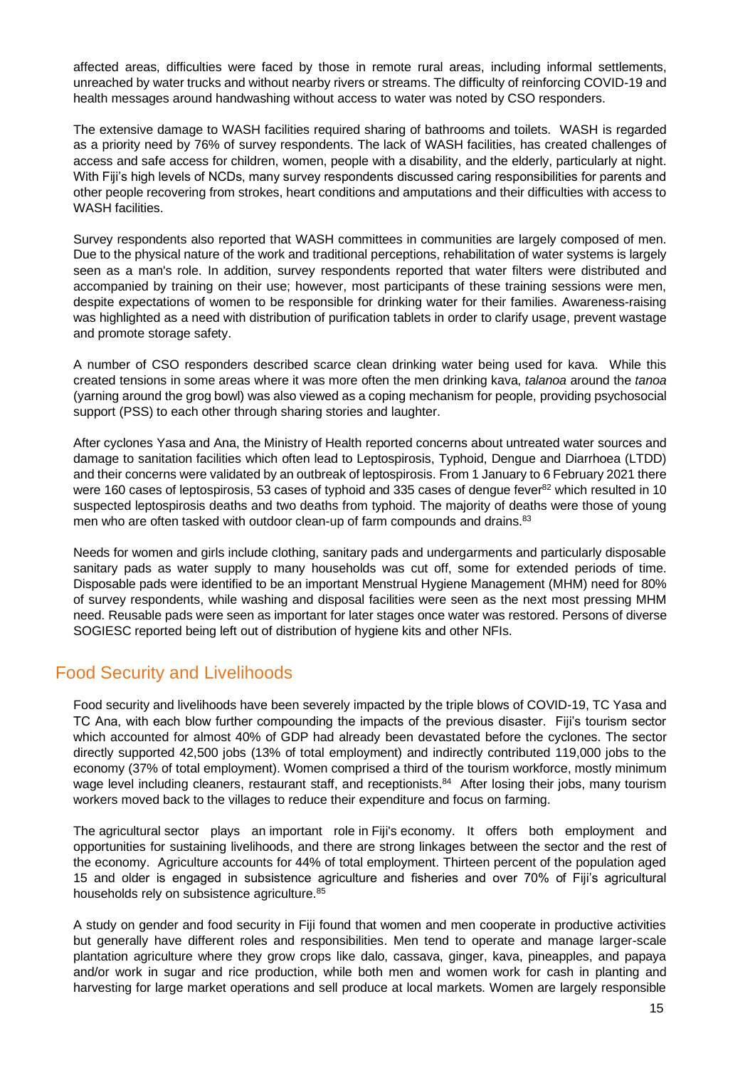affected areas, difficulties were faced by those in remote rural areas, including informal settlements, unreached by water trucks and without nearby rivers or streams. The difficulty of reinforcing COVID-19 and health messages around handwashing without access to water was noted by CSO responders.

The extensive damage to WASH facilities required sharing of bathrooms and toilets. WASH is regarded as a priority need by 76% of survey respondents. The lack of WASH facilities, has created challenges of access and safe access for children, women, people with a disability, and the elderly, particularly at night. With Fiji's high levels of NCDs, many survey respondents discussed caring responsibilities for parents and other people recovering from strokes, heart conditions and amputations and their difficulties with access to WASH facilities.

Survey respondents also reported that WASH committees in communities are largely composed of men. Due to the physical nature of the work and traditional perceptions, rehabilitation of water systems is largely seen as a man's role. In addition, survey respondents reported that water filters were distributed and accompanied by training on their use; however, most participants of these training sessions were men, despite expectations of women to be responsible for drinking water for their families. Awareness-raising was highlighted as a need with distribution of purification tablets in order to clarify usage, prevent wastage and promote storage safety.

A number of CSO responders described scarce clean drinking water being used for kava. While this created tensions in some areas where it was more often the men drinking kava, *talanoa* around the *tanoa* (yarning around the grog bowl) was also viewed as a coping mechanism for people, providing psychosocial support (PSS) to each other through sharing stories and laughter.

After cyclones Yasa and Ana, the Ministry of Health reported concerns about untreated water sources and damage to sanitation facilities which often lead to Leptospirosis, Typhoid, Dengue and Diarrhoea (LTDD) and their concerns were validated by an outbreak of leptospirosis. From 1 January to 6 February 2021 there were 160 cases of leptospirosis, 53 cases of typhoid and 335 cases of dengue fever $^{82}$  which resulted in 10 suspected leptospirosis deaths and two deaths from typhoid. The majority of deaths were those of young men who are often tasked with outdoor clean-up of farm compounds and drains.<sup>83</sup>

Needs for women and girls include clothing, sanitary pads and undergarments and particularly disposable sanitary pads as water supply to many households was cut off, some for extended periods of time. Disposable pads were identified to be an important Menstrual Hygiene Management (MHM) need for 80% of survey respondents, while washing and disposal facilities were seen as the next most pressing MHM need. Reusable pads were seen as important for later stages once water was restored. Persons of diverse SOGIESC reported being left out of distribution of hygiene kits and other NFIs.

### <span id="page-16-0"></span>Food Security and Livelihoods

Food security and livelihoods have been severely impacted by the triple blows of COVID-19, TC Yasa and TC Ana, with each blow further compounding the impacts of the previous disaster. Fiji's tourism sector which accounted for almost 40% of GDP had already been devastated before the cyclones. The sector directly supported 42,500 jobs (13% of total employment) and indirectly contributed 119,000 jobs to the economy (37% of total employment). Women comprised a third of the tourism workforce, mostly minimum wage level including cleaners, restaurant staff, and receptionists.<sup>84</sup> After losing their jobs, many tourism workers moved back to the villages to reduce their expenditure and focus on farming.

The agricultural sector plays an important role in Fiji's economy. It offers both employment and opportunities for sustaining livelihoods, and there are strong linkages between the sector and the rest of the economy. Agriculture accounts for 44% of total employment. Thirteen percent of the population aged 15 and older is engaged in subsistence agriculture and fisheries and over 70% of Fiji's agricultural households rely on subsistence agriculture.<sup>85</sup>

A study on gender and food security in Fiji found that women and men cooperate in productive activities but generally have different roles and responsibilities. Men tend to operate and manage larger-scale plantation agriculture where they grow crops like dalo, cassava, ginger, kava, pineapples, and papaya and/or work in sugar and rice production, while both men and women work for cash in planting and harvesting for large market operations and sell produce at local markets. Women are largely responsible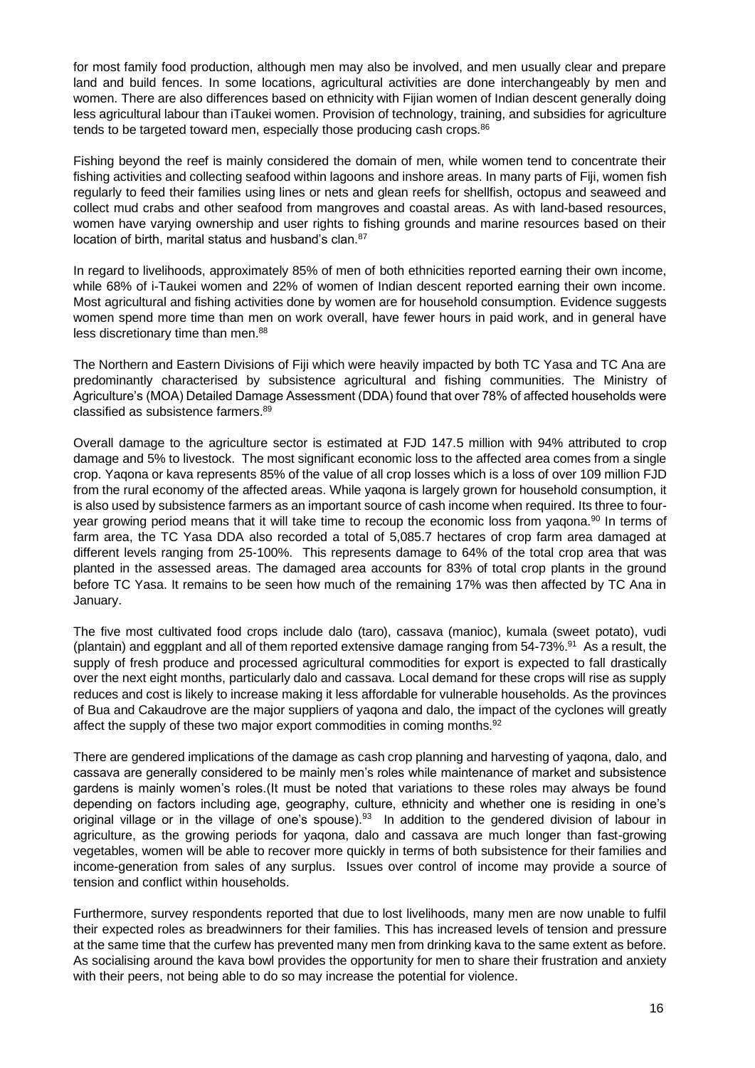for most family food production, although men may also be involved, and men usually clear and prepare land and build fences. In some locations, agricultural activities are done interchangeably by men and women. There are also differences based on ethnicity with Fijian women of Indian descent generally doing less agricultural labour than iTaukei women. Provision of technology, training, and subsidies for agriculture tends to be targeted toward men, especially those producing cash crops.<sup>86</sup>

Fishing beyond the reef is mainly considered the domain of men, while women tend to concentrate their fishing activities and collecting seafood within lagoons and inshore areas. In many parts of Fiji, women fish regularly to feed their families using lines or nets and glean reefs for shellfish, octopus and seaweed and collect mud crabs and other seafood from mangroves and coastal areas. As with land-based resources, women have varying ownership and user rights to fishing grounds and marine resources based on their location of birth, marital status and husband's clan.<sup>87</sup>

In regard to livelihoods, approximately 85% of men of both ethnicities reported earning their own income, while 68% of i-Taukei women and 22% of women of Indian descent reported earning their own income. Most agricultural and fishing activities done by women are for household consumption. Evidence suggests women spend more time than men on work overall, have fewer hours in paid work, and in general have less discretionary time than men.<sup>88</sup>

The Northern and Eastern Divisions of Fiji which were heavily impacted by both TC Yasa and TC Ana are predominantly characterised by subsistence agricultural and fishing communities. The Ministry of Agriculture's (MOA) Detailed Damage Assessment (DDA) found that over 78% of affected households were classified as subsistence farmers.<sup>89</sup>

Overall damage to the agriculture sector is estimated at FJD 147.5 million with 94% attributed to crop damage and 5% to livestock. The most significant economic loss to the affected area comes from a single crop. Yaqona or kava represents 85% of the value of all crop losses which is a loss of over 109 million FJD from the rural economy of the affected areas. While yaqona is largely grown for household consumption, it is also used by subsistence farmers as an important source of cash income when required. Its three to fouryear growing period means that it will take time to recoup the economic loss from yagona.<sup>90</sup> In terms of farm area, the TC Yasa DDA also recorded a total of 5,085.7 hectares of crop farm area damaged at different levels ranging from 25-100%. This represents damage to 64% of the total crop area that was planted in the assessed areas. The damaged area accounts for 83% of total crop plants in the ground before TC Yasa. It remains to be seen how much of the remaining 17% was then affected by TC Ana in January.

The five most cultivated food crops include dalo (taro), cassava (manioc), kumala (sweet potato), vudi (plantain) and eggplant and all of them reported extensive damage ranging from 54-73%.<sup>91</sup> As a result, the supply of fresh produce and processed agricultural commodities for export is expected to fall drastically over the next eight months, particularly dalo and cassava. Local demand for these crops will rise as supply reduces and cost is likely to increase making it less affordable for vulnerable households. As the provinces of Bua and Cakaudrove are the major suppliers of yaqona and dalo, the impact of the cyclones will greatly affect the supply of these two major export commodities in coming months.<sup>92</sup>

There are gendered implications of the damage as cash crop planning and harvesting of yaqona, dalo, and cassava are generally considered to be mainly men's roles while maintenance of market and subsistence gardens is mainly women's roles.(It must be noted that variations to these roles may always be found depending on factors including age, geography, culture, ethnicity and whether one is residing in one's original village or in the village of one's spouse).<sup>93</sup> In addition to the gendered division of labour in agriculture, as the growing periods for yaqona, dalo and cassava are much longer than fast-growing vegetables, women will be able to recover more quickly in terms of both subsistence for their families and income-generation from sales of any surplus. Issues over control of income may provide a source of tension and conflict within households.

Furthermore, survey respondents reported that due to lost livelihoods, many men are now unable to fulfil their expected roles as breadwinners for their families. This has increased levels of tension and pressure at the same time that the curfew has prevented many men from drinking kava to the same extent as before. As socialising around the kava bowl provides the opportunity for men to share their frustration and anxiety with their peers, not being able to do so may increase the potential for violence.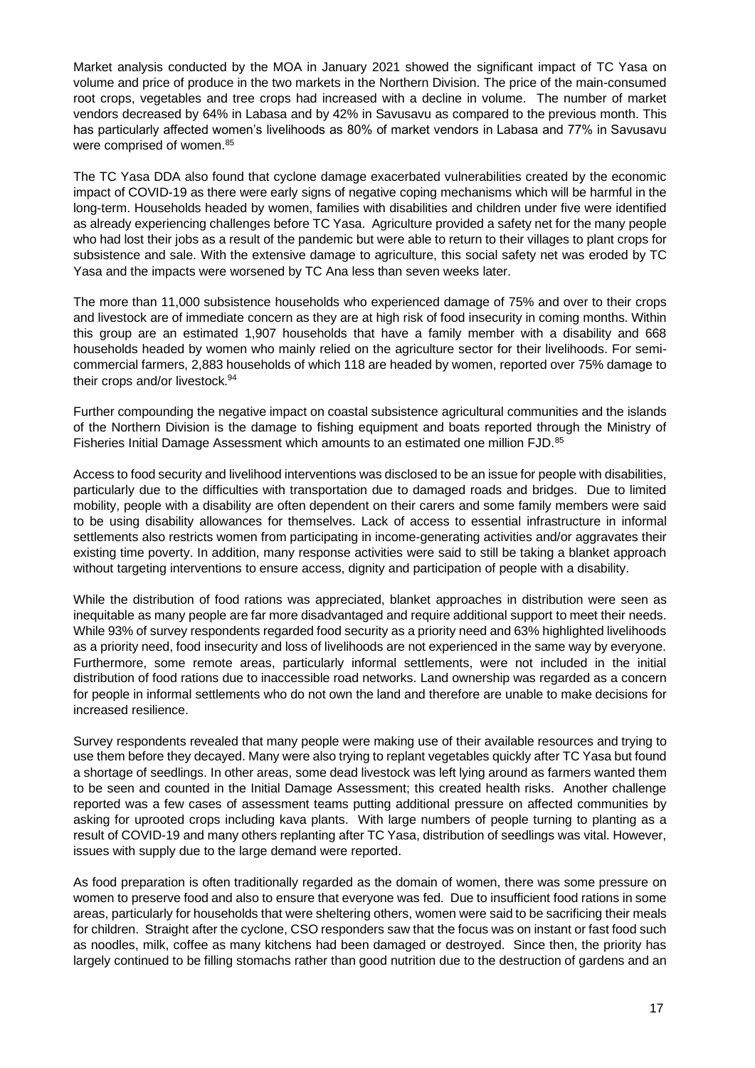Market analysis conducted by the MOA in January 2021 showed the significant impact of TC Yasa on volume and price of produce in the two markets in the Northern Division. The price of the main-consumed root crops, vegetables and tree crops had increased with a decline in volume. The number of market vendors decreased by 64% in Labasa and by 42% in Savusavu as compared to the previous month. This has particularly affected women's livelihoods as 80% of market vendors in Labasa and 77% in Savusavu were comprised of women.<sup>85</sup>

The TC Yasa DDA also found that cyclone damage exacerbated vulnerabilities created by the economic impact of COVID-19 as there were early signs of negative coping mechanisms which will be harmful in the long-term. Households headed by women, families with disabilities and children under five were identified as already experiencing challenges before TC Yasa. Agriculture provided a safety net for the many people who had lost their jobs as a result of the pandemic but were able to return to their villages to plant crops for subsistence and sale. With the extensive damage to agriculture, this social safety net was eroded by TC Yasa and the impacts were worsened by TC Ana less than seven weeks later.

The more than 11,000 subsistence households who experienced damage of 75% and over to their crops and livestock are of immediate concern as they are at high risk of food insecurity in coming months. Within this group are an estimated 1,907 households that have a family member with a disability and 668 households headed by women who mainly relied on the agriculture sector for their livelihoods. For semicommercial farmers, 2,883 households of which 118 are headed by women, reported over 75% damage to their crops and/or livestock.<sup>94</sup>

Further compounding the negative impact on coastal subsistence agricultural communities and the islands of the Northern Division is the damage to fishing equipment and boats reported through the Ministry of Fisheries Initial Damage Assessment which amounts to an estimated one million FJD.<sup>85</sup>

Access to food security and livelihood interventions was disclosed to be an issue for people with disabilities, particularly due to the difficulties with transportation due to damaged roads and bridges. Due to limited mobility, people with a disability are often dependent on their carers and some family members were said to be using disability allowances for themselves. Lack of access to essential infrastructure in informal settlements also restricts women from participating in income-generating activities and/or aggravates their existing time poverty. In addition, many response activities were said to still be taking a blanket approach without targeting interventions to ensure access, dignity and participation of people with a disability.

While the distribution of food rations was appreciated, blanket approaches in distribution were seen as inequitable as many people are far more disadvantaged and require additional support to meet their needs. While 93% of survey respondents regarded food security as a priority need and 63% highlighted livelihoods as a priority need, food insecurity and loss of livelihoods are not experienced in the same way by everyone. Furthermore, some remote areas, particularly informal settlements, were not included in the initial distribution of food rations due to inaccessible road networks. Land ownership was regarded as a concern for people in informal settlements who do not own the land and therefore are unable to make decisions for increased resilience.

Survey respondents revealed that many people were making use of their available resources and trying to use them before they decayed. Many were also trying to replant vegetables quickly after TC Yasa but found a shortage of seedlings. In other areas, some dead livestock was left lying around as farmers wanted them to be seen and counted in the Initial Damage Assessment; this created health risks. Another challenge reported was a few cases of assessment teams putting additional pressure on affected communities by asking for uprooted crops including kava plants. With large numbers of people turning to planting as a result of COVID-19 and many others replanting after TC Yasa, distribution of seedlings was vital. However, issues with supply due to the large demand were reported.

As food preparation is often traditionally regarded as the domain of women, there was some pressure on women to preserve food and also to ensure that everyone was fed. Due to insufficient food rations in some areas, particularly for households that were sheltering others, women were said to be sacrificing their meals for children. Straight after the cyclone, CSO responders saw that the focus was on instant or fast food such as noodles, milk, coffee as many kitchens had been damaged or destroyed. Since then, the priority has largely continued to be filling stomachs rather than good nutrition due to the destruction of gardens and an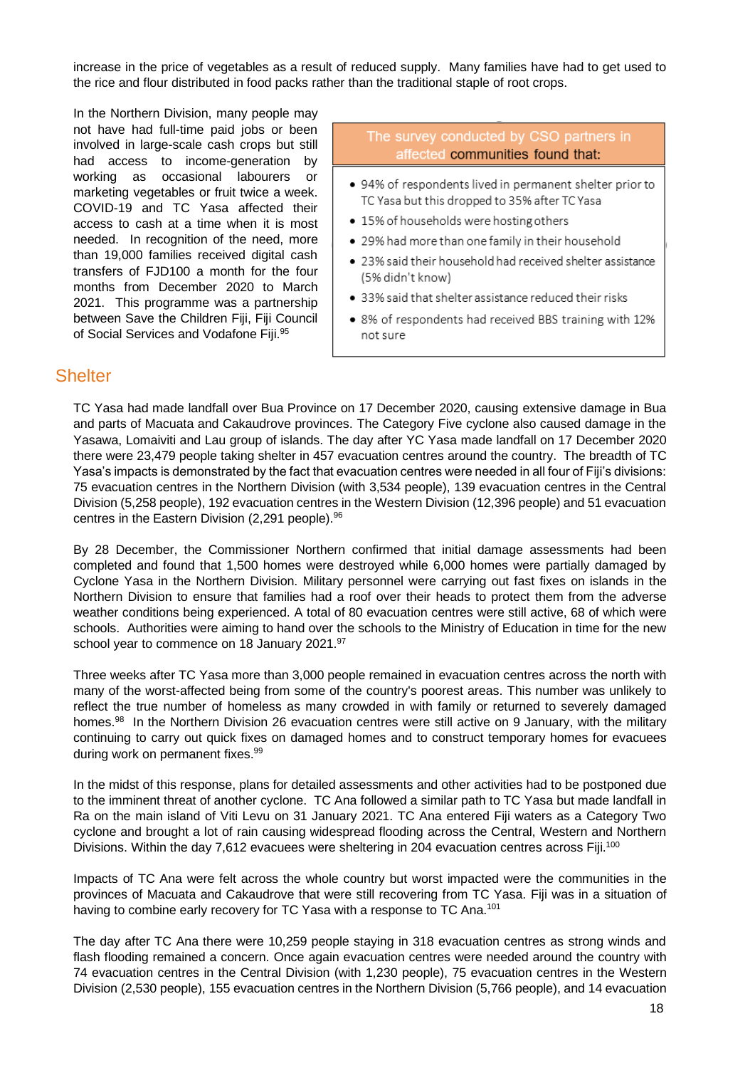increase in the price of vegetables as a result of reduced supply. Many families have had to get used to the rice and flour distributed in food packs rather than the traditional staple of root crops.

In the Northern Division, many people may not have had full-time paid jobs or been involved in large-scale cash crops but still had access to income-generation by working as occasional labourers or marketing vegetables or fruit twice a week. COVID-19 and TC Yasa affected their access to cash at a time when it is most needed. In recognition of the need, more than 19,000 families received digital cash transfers of FJD100 a month for the four months from December 2020 to March 2021. This programme was a partnership between Save the Children Fiji, Fiji Council of Social Services and Vodafone Fiji.<sup>95</sup>

#### The survey conducted by CSO partners in affected communities found that:

- 94% of respondents lived in permanent shelter prior to TC Yasa but this dropped to 35% after TC Yasa
- 15% of households were hosting others
- . 29% had more than one family in their household
- 23% said their household had received shelter assistance (5% didn't know)
- 33% said that shelter assistance reduced their risks
- 8% of respondents had received BBS training with 12% not sure

### <span id="page-19-0"></span>**Shelter**

TC Yasa had made landfall over Bua Province on 17 December 2020, causing extensive damage in Bua and parts of Macuata and Cakaudrove provinces. The Category Five cyclone also caused damage in the Yasawa, Lomaiviti and Lau group of islands. The day after YC Yasa made landfall on 17 December 2020 there were 23,479 people taking shelter in 457 evacuation centres around the country. The breadth of TC Yasa's impacts is demonstrated by the fact that evacuation centres were needed in all four of Fiji's divisions: 75 evacuation centres in the Northern Division (with 3,534 people), 139 evacuation centres in the Central Division (5,258 people), 192 evacuation centres in the Western Division (12,396 people) and 51 evacuation centres in the Eastern Division  $(2,291 \text{ people})$ .<sup>96</sup>

By 28 December, the Commissioner Northern confirmed that initial damage assessments had been completed and found that 1,500 homes were destroyed while 6,000 homes were partially damaged by Cyclone Yasa in the Northern Division. Military personnel were carrying out fast fixes on islands in the Northern Division to ensure that families had a roof over their heads to protect them from the adverse weather conditions being experienced. A total of 80 evacuation centres were still active, 68 of which were schools. Authorities were aiming to hand over the schools to the Ministry of Education in time for the new school year to commence on 18 January 2021.<sup>97</sup>

Three weeks after TC Yasa more than 3,000 people remained in evacuation centres across the north with many of the worst-affected being from some of the country's poorest areas. This number was unlikely to reflect the true number of homeless as many crowded in with family or returned to severely damaged homes.<sup>98</sup> In the Northern Division 26 evacuation centres were still active on 9 January, with the military continuing to carry out quick fixes on damaged homes and to construct temporary homes for evacuees during work on permanent fixes.<sup>99</sup>

In the midst of this response, plans for detailed assessments and other activities had to be postponed due to the imminent threat of another cyclone. TC Ana followed a similar path to TC Yasa but made landfall in Ra on the main island of Viti Levu on 31 January 2021. TC Ana entered Fiji waters as a Category Two cyclone and brought a lot of rain causing widespread flooding across the Central, Western and Northern Divisions. Within the day 7,612 evacuees were sheltering in 204 evacuation centres across Fiji.<sup>100</sup>

Impacts of TC Ana were felt across the whole country but worst impacted were the communities in the provinces of Macuata and Cakaudrove that were still recovering from TC Yasa. Fiji was in a situation of having to combine early recovery for TC Yasa with a response to TC Ana.<sup>101</sup>

The day after TC Ana there were 10,259 people staying in 318 evacuation centres as strong winds and flash flooding remained a concern. Once again evacuation centres were needed around the country with 74 evacuation centres in the Central Division (with 1,230 people), 75 evacuation centres in the Western Division (2,530 people), 155 evacuation centres in the Northern Division (5,766 people), and 14 evacuation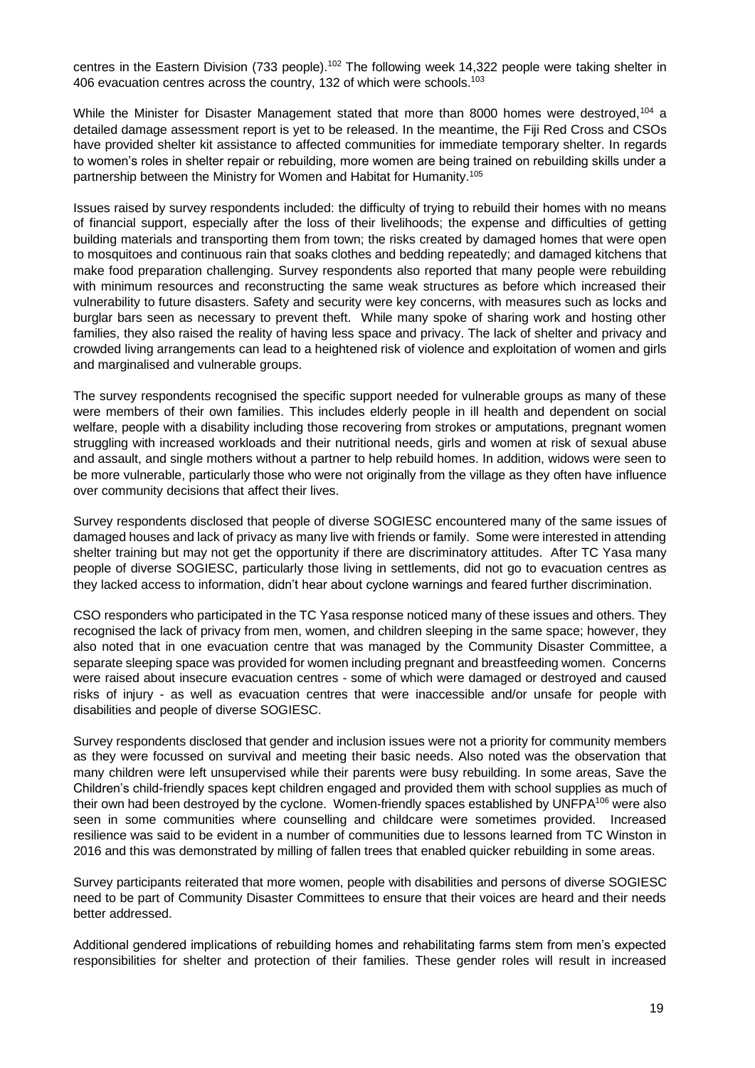centres in the Eastern Division (733 people).<sup>102</sup> The following week 14,322 people were taking shelter in 406 evacuation centres across the country, 132 of which were schools.<sup>103</sup>

While the Minister for Disaster Management stated that more than 8000 homes were destroyed,<sup>104</sup> a detailed damage assessment report is yet to be released. In the meantime, the Fiji Red Cross and CSOs have provided shelter kit assistance to affected communities for immediate temporary shelter. In regards to women's roles in shelter repair or rebuilding, more women are being trained on rebuilding skills under a partnership between the Ministry for Women and Habitat for Humanity.<sup>105</sup>

Issues raised by survey respondents included: the difficulty of trying to rebuild their homes with no means of financial support, especially after the loss of their livelihoods; the expense and difficulties of getting building materials and transporting them from town; the risks created by damaged homes that were open to mosquitoes and continuous rain that soaks clothes and bedding repeatedly; and damaged kitchens that make food preparation challenging. Survey respondents also reported that many people were rebuilding with minimum resources and reconstructing the same weak structures as before which increased their vulnerability to future disasters. Safety and security were key concerns, with measures such as locks and burglar bars seen as necessary to prevent theft. While many spoke of sharing work and hosting other families, they also raised the reality of having less space and privacy. The lack of shelter and privacy and crowded living arrangements can lead to a heightened risk of violence and exploitation of women and girls and marginalised and vulnerable groups.

The survey respondents recognised the specific support needed for vulnerable groups as many of these were members of their own families. This includes elderly people in ill health and dependent on social welfare, people with a disability including those recovering from strokes or amputations, pregnant women struggling with increased workloads and their nutritional needs, girls and women at risk of sexual abuse and assault, and single mothers without a partner to help rebuild homes. In addition, widows were seen to be more vulnerable, particularly those who were not originally from the village as they often have influence over community decisions that affect their lives.

Survey respondents disclosed that people of diverse SOGIESC encountered many of the same issues of damaged houses and lack of privacy as many live with friends or family. Some were interested in attending shelter training but may not get the opportunity if there are discriminatory attitudes. After TC Yasa many people of diverse SOGIESC, particularly those living in settlements, did not go to evacuation centres as they lacked access to information, didn't hear about cyclone warnings and feared further discrimination.

CSO responders who participated in the TC Yasa response noticed many of these issues and others. They recognised the lack of privacy from men, women, and children sleeping in the same space; however, they also noted that in one evacuation centre that was managed by the Community Disaster Committee, a separate sleeping space was provided for women including pregnant and breastfeeding women. Concerns were raised about insecure evacuation centres - some of which were damaged or destroyed and caused risks of injury - as well as evacuation centres that were inaccessible and/or unsafe for people with disabilities and people of diverse SOGIESC.

Survey respondents disclosed that gender and inclusion issues were not a priority for community members as they were focussed on survival and meeting their basic needs. Also noted was the observation that many children were left unsupervised while their parents were busy rebuilding. In some areas, Save the Children's child-friendly spaces kept children engaged and provided them with school supplies as much of their own had been destroyed by the cyclone. Women-friendly spaces established by UNFPA<sup>106</sup> were also seen in some communities where counselling and childcare were sometimes provided. Increased resilience was said to be evident in a number of communities due to lessons learned from TC Winston in 2016 and this was demonstrated by milling of fallen trees that enabled quicker rebuilding in some areas.

Survey participants reiterated that more women, people with disabilities and persons of diverse SOGIESC need to be part of Community Disaster Committees to ensure that their voices are heard and their needs better addressed.

Additional gendered implications of rebuilding homes and rehabilitating farms stem from men's expected responsibilities for shelter and protection of their families. These gender roles will result in increased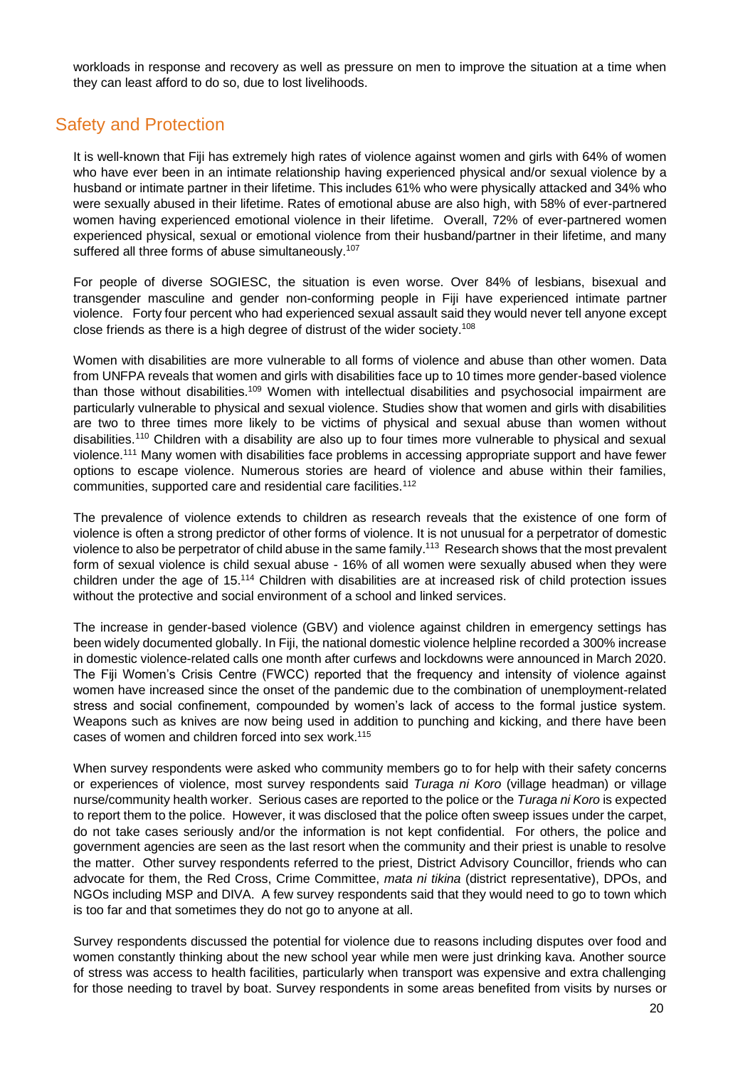workloads in response and recovery as well as pressure on men to improve the situation at a time when they can least afford to do so, due to lost livelihoods.

### <span id="page-21-0"></span>Safety and Protection

It is well-known that Fiji has extremely high rates of violence against women and girls with 64% of women who have ever been in an intimate relationship having experienced physical and/or sexual violence by a husband or intimate partner in their lifetime. This includes 61% who were physically attacked and 34% who were sexually abused in their lifetime. Rates of emotional abuse are also high, with 58% of ever-partnered women having experienced emotional violence in their lifetime. Overall, 72% of ever-partnered women experienced physical, sexual or emotional violence from their husband/partner in their lifetime, and many suffered all three forms of abuse simultaneously.<sup>107</sup>

For people of diverse SOGIESC, the situation is even worse. Over 84% of lesbians, bisexual and transgender masculine and gender non-conforming people in Fiji have experienced intimate partner violence. Forty four percent who had experienced sexual assault said they would never tell anyone except close friends as there is a high degree of distrust of the wider society.<sup>108</sup>

Women with disabilities are more vulnerable to all forms of violence and abuse than other women. Data from UNFPA reveals that women and girls with disabilities face up to 10 times more gender-based violence than those without disabilities.<sup>109</sup> Women with intellectual disabilities and psychosocial impairment are particularly vulnerable to physical and sexual violence. Studies show that women and girls with disabilities are two to three times more likely to be victims of physical and sexual abuse than women without disabilities.<sup>110</sup> Children with a disability are also up to four times more vulnerable to physical and sexual violence.<sup>111</sup> Many women with disabilities face problems in accessing appropriate support and have fewer options to escape violence. Numerous stories are heard of violence and abuse within their families, communities, supported care and residential care facilities.<sup>112</sup>

The prevalence of violence extends to children as research reveals that the existence of one form of violence is often a strong predictor of other forms of violence. It is not unusual for a perpetrator of domestic violence to also be perpetrator of child abuse in the same family.<sup>113</sup> Research shows that the most prevalent form of sexual violence is child sexual abuse - 16% of all women were sexually abused when they were children under the age of 15.<sup>114</sup> Children with disabilities are at increased risk of child protection issues without the protective and social environment of a school and linked services.

The increase in gender-based violence (GBV) and violence against children in emergency settings has been widely documented globally. In Fiji, the national domestic violence helpline recorded a 300% increase in domestic violence-related calls one month after curfews and lockdowns were announced in March 2020. The Fiji Women's Crisis Centre (FWCC) reported that the frequency and intensity of violence against women have increased since the onset of the pandemic due to the combination of unemployment-related stress and social confinement, compounded by women's lack of access to the formal justice system. Weapons such as knives are now being used in addition to punching and kicking, and there have been cases of women and children forced into sex work.<sup>115</sup>

When survey respondents were asked who community members go to for help with their safety concerns or experiences of violence, most survey respondents said *Turaga ni Koro* (village headman) or village nurse/community health worker. Serious cases are reported to the police or the *Turaga ni Koro* is expected to report them to the police. However, it was disclosed that the police often sweep issues under the carpet, do not take cases seriously and/or the information is not kept confidential. For others, the police and government agencies are seen as the last resort when the community and their priest is unable to resolve the matter. Other survey respondents referred to the priest, District Advisory Councillor, friends who can advocate for them, the Red Cross, Crime Committee, *mata ni tikina* (district representative), DPOs, and NGOs including MSP and DIVA. A few survey respondents said that they would need to go to town which is too far and that sometimes they do not go to anyone at all.

Survey respondents discussed the potential for violence due to reasons including disputes over food and women constantly thinking about the new school year while men were just drinking kava. Another source of stress was access to health facilities, particularly when transport was expensive and extra challenging for those needing to travel by boat. Survey respondents in some areas benefited from visits by nurses or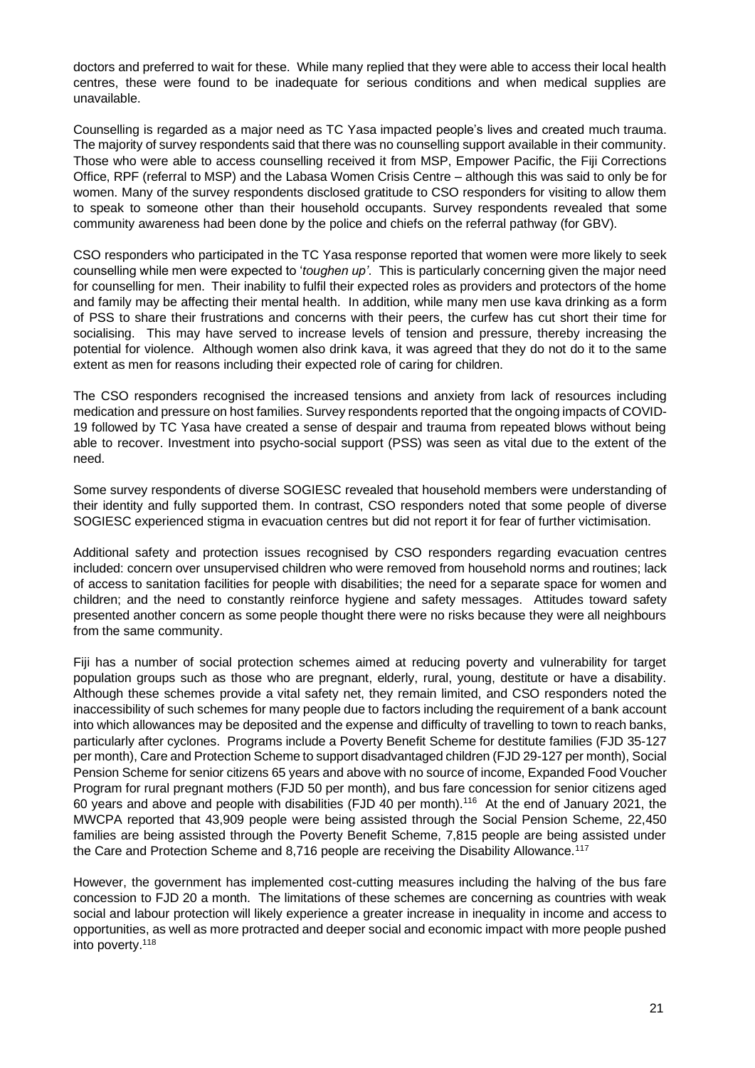doctors and preferred to wait for these. While many replied that they were able to access their local health centres, these were found to be inadequate for serious conditions and when medical supplies are unavailable.

Counselling is regarded as a major need as TC Yasa impacted people's lives and created much trauma. The majority of survey respondents said that there was no counselling support available in their community. Those who were able to access counselling received it from MSP, Empower Pacific, the Fiji Corrections Office, RPF (referral to MSP) and the Labasa Women Crisis Centre – although this was said to only be for women. Many of the survey respondents disclosed gratitude to CSO responders for visiting to allow them to speak to someone other than their household occupants. Survey respondents revealed that some community awareness had been done by the police and chiefs on the referral pathway (for GBV).

CSO responders who participated in the TC Yasa response reported that women were more likely to seek counselling while men were expected to '*toughen up'*. This is particularly concerning given the major need for counselling for men. Their inability to fulfil their expected roles as providers and protectors of the home and family may be affecting their mental health. In addition, while many men use kava drinking as a form of PSS to share their frustrations and concerns with their peers, the curfew has cut short their time for socialising. This may have served to increase levels of tension and pressure, thereby increasing the potential for violence. Although women also drink kava, it was agreed that they do not do it to the same extent as men for reasons including their expected role of caring for children.

The CSO responders recognised the increased tensions and anxiety from lack of resources including medication and pressure on host families. Survey respondents reported that the ongoing impacts of COVID-19 followed by TC Yasa have created a sense of despair and trauma from repeated blows without being able to recover. Investment into psycho-social support (PSS) was seen as vital due to the extent of the need.

Some survey respondents of diverse SOGIESC revealed that household members were understanding of their identity and fully supported them. In contrast, CSO responders noted that some people of diverse SOGIESC experienced stigma in evacuation centres but did not report it for fear of further victimisation.

Additional safety and protection issues recognised by CSO responders regarding evacuation centres included: concern over unsupervised children who were removed from household norms and routines; lack of access to sanitation facilities for people with disabilities; the need for a separate space for women and children; and the need to constantly reinforce hygiene and safety messages. Attitudes toward safety presented another concern as some people thought there were no risks because they were all neighbours from the same community.

Fiji has a number of social protection schemes aimed at reducing poverty and vulnerability for target population groups such as those who are pregnant, elderly, rural, young, destitute or have a disability. Although these schemes provide a vital safety net, they remain limited, and CSO responders noted the inaccessibility of such schemes for many people due to factors including the requirement of a bank account into which allowances may be deposited and the expense and difficulty of travelling to town to reach banks, particularly after cyclones. Programs include a Poverty Benefit Scheme for destitute families (FJD 35-127 per month), Care and Protection Scheme to support disadvantaged children (FJD 29-127 per month), Social Pension Scheme for senior citizens 65 years and above with no source of income, Expanded Food Voucher Program for rural pregnant mothers (FJD 50 per month), and bus fare concession for senior citizens aged 60 years and above and people with disabilities (FJD 40 per month).<sup>116</sup> At the end of January 2021, the MWCPA reported that 43,909 people were being assisted through the Social Pension Scheme, 22,450 families are being assisted through the Poverty Benefit Scheme, 7,815 people are being assisted under the Care and Protection Scheme and 8,716 people are receiving the Disability Allowance.<sup>117</sup>

However, the government has implemented cost-cutting measures including the halving of the bus fare concession to FJD 20 a month. The limitations of these schemes are concerning as countries with weak social and labour protection will likely experience a greater increase in inequality in income and access to opportunities, as well as more protracted and deeper social and economic impact with more people pushed into poverty.118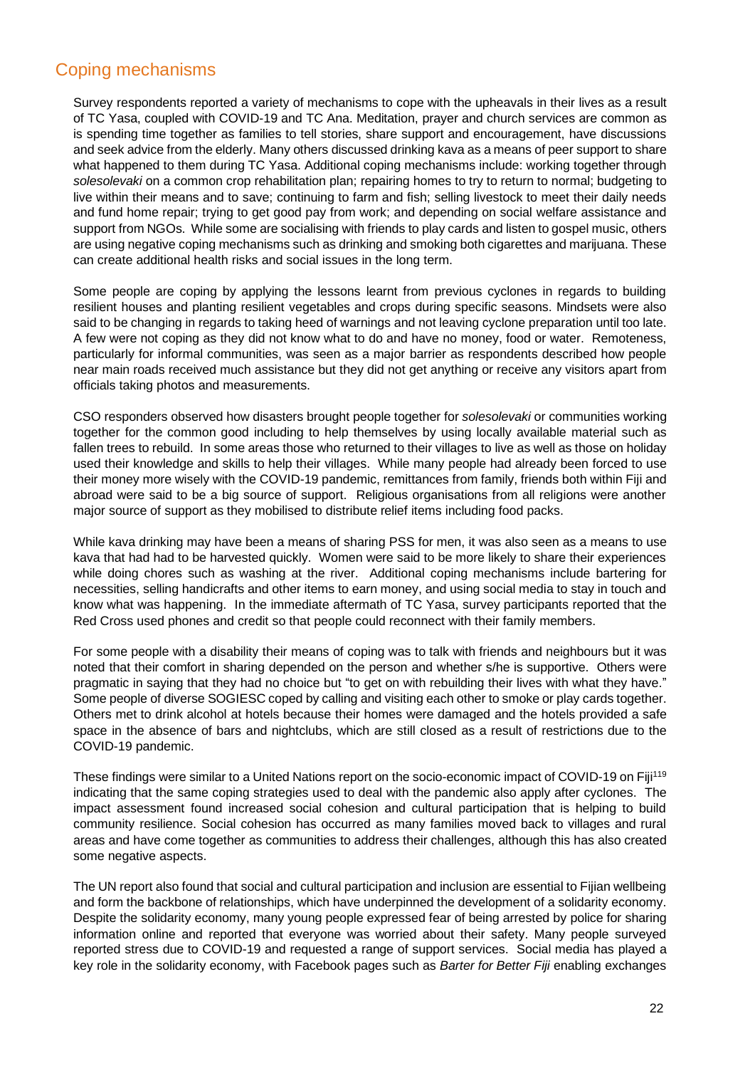### <span id="page-23-0"></span>Coping mechanisms

Survey respondents reported a variety of mechanisms to cope with the upheavals in their lives as a result of TC Yasa, coupled with COVID-19 and TC Ana. Meditation, prayer and church services are common as is spending time together as families to tell stories, share support and encouragement, have discussions and seek advice from the elderly. Many others discussed drinking kava as a means of peer support to share what happened to them during TC Yasa. Additional coping mechanisms include: working together through *solesolevaki* on a common crop rehabilitation plan; repairing homes to try to return to normal; budgeting to live within their means and to save; continuing to farm and fish; selling livestock to meet their daily needs and fund home repair; trying to get good pay from work; and depending on social welfare assistance and support from NGOs. While some are socialising with friends to play cards and listen to gospel music, others are using negative coping mechanisms such as drinking and smoking both cigarettes and marijuana. These can create additional health risks and social issues in the long term.

Some people are coping by applying the lessons learnt from previous cyclones in regards to building resilient houses and planting resilient vegetables and crops during specific seasons. Mindsets were also said to be changing in regards to taking heed of warnings and not leaving cyclone preparation until too late. A few were not coping as they did not know what to do and have no money, food or water. Remoteness, particularly for informal communities, was seen as a major barrier as respondents described how people near main roads received much assistance but they did not get anything or receive any visitors apart from officials taking photos and measurements.

CSO responders observed how disasters brought people together for *solesolevaki* or communities working together for the common good including to help themselves by using locally available material such as fallen trees to rebuild. In some areas those who returned to their villages to live as well as those on holiday used their knowledge and skills to help their villages. While many people had already been forced to use their money more wisely with the COVID-19 pandemic, remittances from family, friends both within Fiji and abroad were said to be a big source of support. Religious organisations from all religions were another major source of support as they mobilised to distribute relief items including food packs.

While kava drinking may have been a means of sharing PSS for men, it was also seen as a means to use kava that had had to be harvested quickly. Women were said to be more likely to share their experiences while doing chores such as washing at the river. Additional coping mechanisms include bartering for necessities, selling handicrafts and other items to earn money, and using social media to stay in touch and know what was happening. In the immediate aftermath of TC Yasa, survey participants reported that the Red Cross used phones and credit so that people could reconnect with their family members.

For some people with a disability their means of coping was to talk with friends and neighbours but it was noted that their comfort in sharing depended on the person and whether s/he is supportive. Others were pragmatic in saying that they had no choice but "to get on with rebuilding their lives with what they have." Some people of diverse SOGIESC coped by calling and visiting each other to smoke or play cards together. Others met to drink alcohol at hotels because their homes were damaged and the hotels provided a safe space in the absence of bars and nightclubs, which are still closed as a result of restrictions due to the COVID-19 pandemic.

These findings were similar to a United Nations report on the socio-economic impact of COVID-19 on Fiji<sup>119</sup> indicating that the same coping strategies used to deal with the pandemic also apply after cyclones. The impact assessment found increased social cohesion and cultural participation that is helping to build community resilience. Social cohesion has occurred as many families moved back to villages and rural areas and have come together as communities to address their challenges, although this has also created some negative aspects.

The UN report also found that social and cultural participation and inclusion are essential to Fijian wellbeing and form the backbone of relationships, which have underpinned the development of a solidarity economy. Despite the solidarity economy, many young people expressed fear of being arrested by police for sharing information online and reported that everyone was worried about their safety. Many people surveyed reported stress due to COVID-19 and requested a range of support services. Social media has played a key role in the solidarity economy, with Facebook pages such as *Barter for Better Fiji* enabling exchanges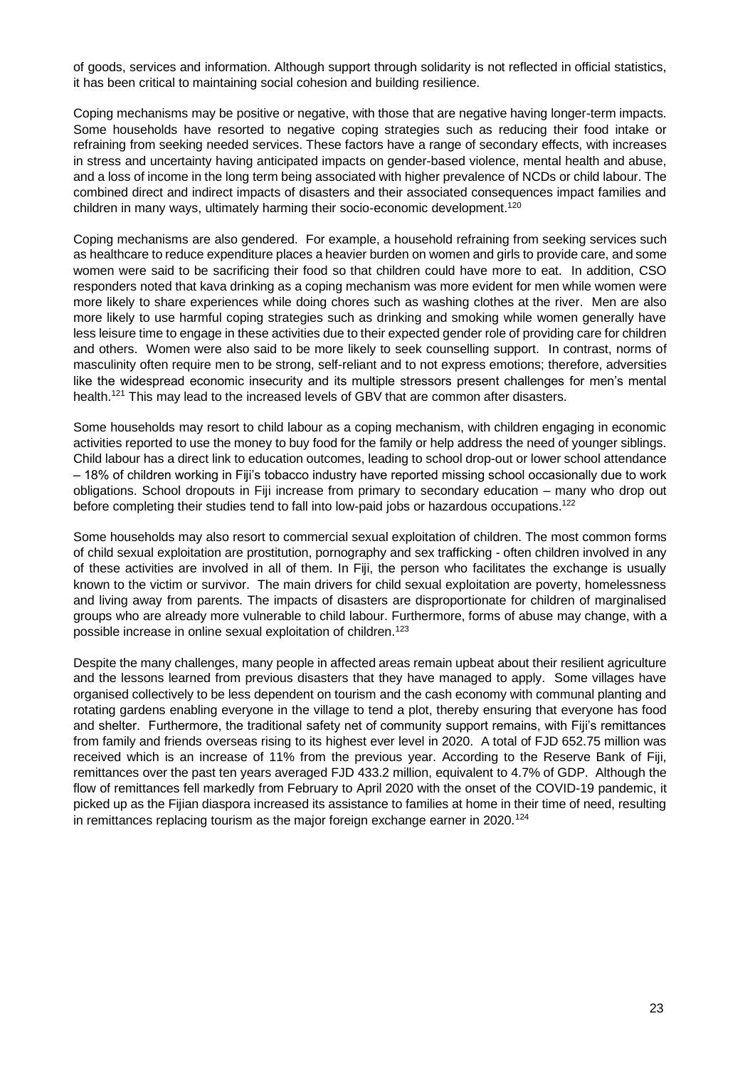of goods, services and information. Although support through solidarity is not reflected in official statistics, it has been critical to maintaining social cohesion and building resilience.

Coping mechanisms may be positive or negative, with those that are negative having longer-term impacts. Some households have resorted to negative coping strategies such as reducing their food intake or refraining from seeking needed services. These factors have a range of secondary effects, with increases in stress and uncertainty having anticipated impacts on gender-based violence, mental health and abuse, and a loss of income in the long term being associated with higher prevalence of NCDs or child labour. The combined direct and indirect impacts of disasters and their associated consequences impact families and children in many ways, ultimately harming their socio-economic development.<sup>120</sup>

Coping mechanisms are also gendered. For example, a household refraining from seeking services such as healthcare to reduce expenditure places a heavier burden on women and girls to provide care, and some women were said to be sacrificing their food so that children could have more to eat. In addition, CSO responders noted that kava drinking as a coping mechanism was more evident for men while women were more likely to share experiences while doing chores such as washing clothes at the river. Men are also more likely to use harmful coping strategies such as drinking and smoking while women generally have less leisure time to engage in these activities due to their expected gender role of providing care for children and others. Women were also said to be more likely to seek counselling support. In contrast, norms of masculinity often require men to be strong, self-reliant and to not express emotions; therefore, adversities like the widespread economic insecurity and its multiple stressors present challenges for men's mental health.<sup>121</sup> This may lead to the increased levels of GBV that are common after disasters.

Some households may resort to child labour as a coping mechanism, with children engaging in economic activities reported to use the money to buy food for the family or help address the need of younger siblings. Child labour has a direct link to education outcomes, leading to school drop-out or lower school attendance – 18% of children working in Fiji's tobacco industry have reported missing school occasionally due to work obligations. School dropouts in Fiji increase from primary to secondary education – many who drop out before completing their studies tend to fall into low-paid jobs or hazardous occupations.<sup>122</sup>

Some households may also resort to commercial sexual exploitation of children. The most common forms of child sexual exploitation are prostitution, pornography and sex trafficking - often children involved in any of these activities are involved in all of them. In Fiji, the person who facilitates the exchange is usually known to the victim or survivor. The main drivers for child sexual exploitation are poverty, homelessness and living away from parents. The impacts of disasters are disproportionate for children of marginalised groups who are already more vulnerable to child labour. Furthermore, forms of abuse may change, with a possible increase in online sexual exploitation of children.<sup>123</sup>

Despite the many challenges, many people in affected areas remain upbeat about their resilient agriculture and the lessons learned from previous disasters that they have managed to apply. Some villages have organised collectively to be less dependent on tourism and the cash economy with communal planting and rotating gardens enabling everyone in the village to tend a plot, thereby ensuring that everyone has food and shelter. Furthermore, the traditional safety net of community support remains, with Fiji's remittances from family and friends overseas rising to its highest ever level in 2020. A total of FJD 652.75 million was received which is an increase of 11% from the previous year. According to the Reserve Bank of Fiji, remittances over the past ten years averaged FJD 433.2 million, equivalent to 4.7% of GDP. Although the flow of remittances fell markedly from February to April 2020 with the onset of the COVID-19 pandemic, it picked up as the Fijian diaspora increased its assistance to families at home in their time of need, resulting in remittances replacing tourism as the major foreign exchange earner in  $2020$ .<sup>124</sup>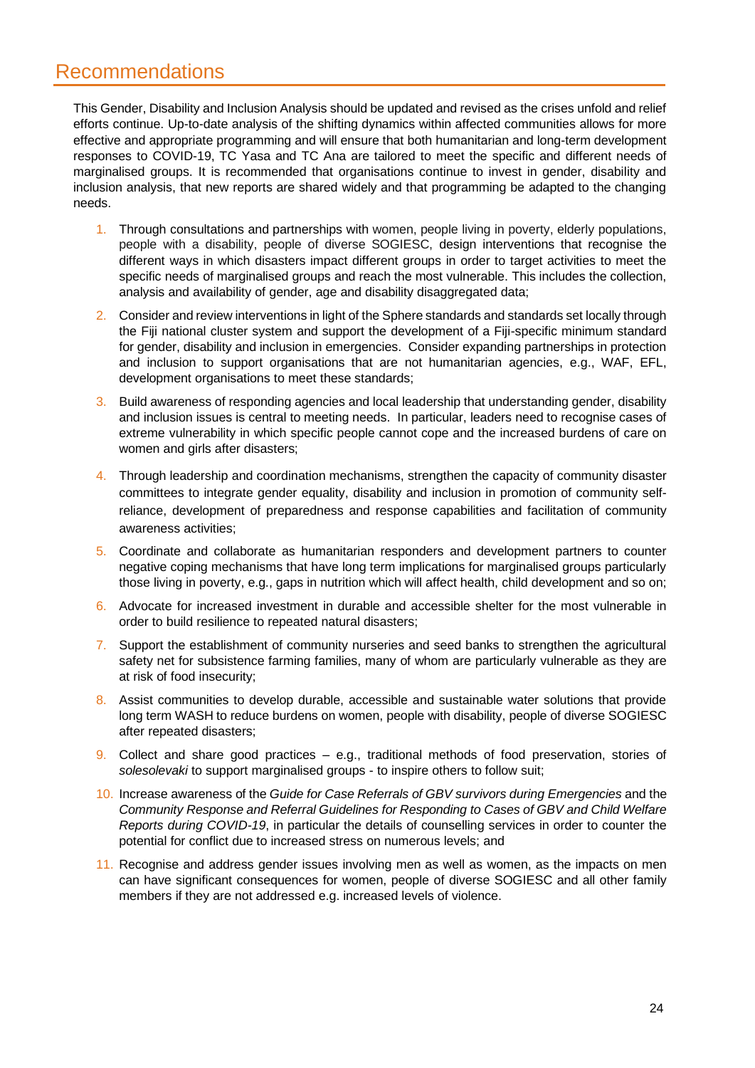# <span id="page-25-0"></span>Recommendations

This Gender, Disability and Inclusion Analysis should be updated and revised as the crises unfold and relief efforts continue. Up-to-date analysis of the shifting dynamics within affected communities allows for more effective and appropriate programming and will ensure that both humanitarian and long-term development responses to COVID-19, TC Yasa and TC Ana are tailored to meet the specific and different needs of marginalised groups. It is recommended that organisations continue to invest in gender, disability and inclusion analysis, that new reports are shared widely and that programming be adapted to the changing needs.

- 1. Through consultations and partnerships with women, people living in poverty, elderly populations, people with a disability, people of diverse SOGIESC, design interventions that recognise the different ways in which disasters impact different groups in order to target activities to meet the specific needs of marginalised groups and reach the most vulnerable. This includes the collection, analysis and availability of gender, age and disability disaggregated data;
- 2. Consider and review interventions in light of the Sphere standards and standards set locally through the Fiji national cluster system and support the development of a Fiji-specific minimum standard for gender, disability and inclusion in emergencies. Consider expanding partnerships in protection and inclusion to support organisations that are not humanitarian agencies, e.g., WAF, EFL, development organisations to meet these standards;
- 3. Build awareness of responding agencies and local leadership that understanding gender, disability and inclusion issues is central to meeting needs. In particular, leaders need to recognise cases of extreme vulnerability in which specific people cannot cope and the increased burdens of care on women and girls after disasters;
- 4. Through leadership and coordination mechanisms, strengthen the capacity of community disaster committees to integrate gender equality, disability and inclusion in promotion of community selfreliance, development of preparedness and response capabilities and facilitation of community awareness activities;
- 5. Coordinate and collaborate as humanitarian responders and development partners to counter negative coping mechanisms that have long term implications for marginalised groups particularly those living in poverty, e.g., gaps in nutrition which will affect health, child development and so on;
- 6. Advocate for increased investment in durable and accessible shelter for the most vulnerable in order to build resilience to repeated natural disasters;
- 7. Support the establishment of community nurseries and seed banks to strengthen the agricultural safety net for subsistence farming families, many of whom are particularly vulnerable as they are at risk of food insecurity;
- 8. Assist communities to develop durable, accessible and sustainable water solutions that provide long term WASH to reduce burdens on women, people with disability, people of diverse SOGIESC after repeated disasters;
- 9. Collect and share good practices e.g., traditional methods of food preservation, stories of *solesolevaki* to support marginalised groups - to inspire others to follow suit;
- 10. Increase awareness of the *Guide for Case Referrals of GBV survivors during Emergencies* and the *Community Response and Referral Guidelines for Responding to Cases of GBV and Child Welfare Reports during COVID-19*, in particular the details of counselling services in order to counter the potential for conflict due to increased stress on numerous levels; and
- 11. Recognise and address gender issues involving men as well as women, as the impacts on men can have significant consequences for women, people of diverse SOGIESC and all other family members if they are not addressed e.g. increased levels of violence.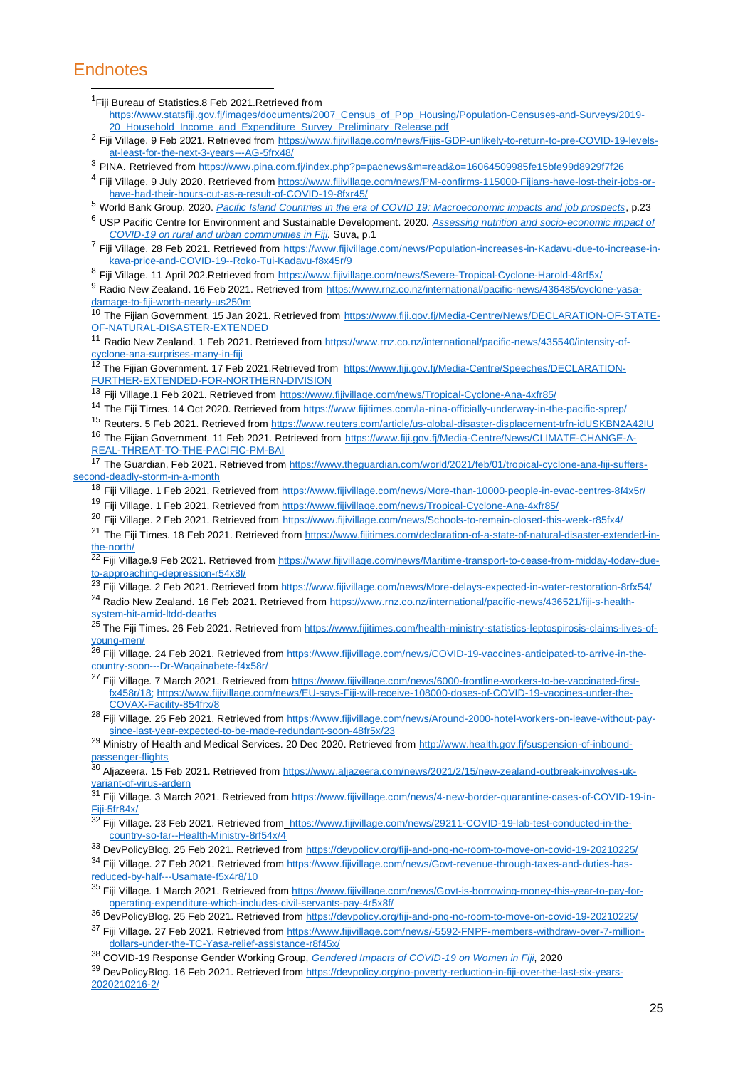### **Endnotes**

<sup>1</sup>Fiji Bureau of Statistics.8 Feb 2021.Retrieved from

- [https://www.statsfiji.gov.fj/images/documents/2007\\_Census\\_of\\_Pop\\_Housing/Population-Censuses-and-Surveys/2019-](https://www.statsfiji.gov.fj/images/documents/2007_Census_of_Pop_Housing/Population-Censuses-and-Surveys/2019-20_Household_Income_and_Expenditure_Survey_Preliminary_Release.pdf) [20\\_Household\\_Income\\_and\\_Expenditure\\_Survey\\_Preliminary\\_Release.pdf](https://www.statsfiji.gov.fj/images/documents/2007_Census_of_Pop_Housing/Population-Censuses-and-Surveys/2019-20_Household_Income_and_Expenditure_Survey_Preliminary_Release.pdf)
- <sup>2</sup> Fiji Village. 9 Feb 2021. Retrieved from [https://www.fijivillage.com/news/Fijis-GDP-unlikely-to-return-to-pre-COVID-19-levels](https://www.fijivillage.com/news/Fijis-GDP-unlikely-to-return-to-pre-COVID-19-levels-at-least-for-the-next-3-years---AG-5frx48/)[at-least-for-the-next-3-years---AG-5frx48/](https://www.fijivillage.com/news/Fijis-GDP-unlikely-to-return-to-pre-COVID-19-levels-at-least-for-the-next-3-years---AG-5frx48/)
- <sup>3</sup> PINA. Retrieved fro[m https://www.pina.com.fj/index.php?p=pacnews&m=read&o=16064509985fe15bfe99d8929f7f26](https://www.pina.com.fj/index.php?p=pacnews&m=read&o=16064509985fe15bfe99d8929f7f26)
- <sup>4</sup> Fiji Village. 9 July 2020. Retrieved from [https://www.fijivillage.com/news/PM-confirms-115000-Fijians-have-lost-their-jobs-or](https://www.fijivillage.com/news/PM-confirms-115000-Fijians-have-lost-their-jobs-or-have-had-their-hours-cut-as-a-result-of-COVID-19-8fxr45/)have-had-their-hours-cut-as-a-result-of-COVID-19-8fxr45/
- <sup>5</sup> World Bank Group. 2020. *[Pacific Island Countries in the era of COVID 19: Macroeconomic impacts and job prospects](http://documents1.worldbank.org/curated/en/835131608739709618/pdf/Pacific-Island-Countries-in-the-Era-of-COVID-19-Macroeconomic-Impacts-and-Job-Prospects.pdf)*, p.23
- <sup>6</sup> USP Pacific Centre for Environment and Sustainable Development. 2020. *[Assessing nutrition and socio-economic impact of](https://pace.usp.ac.fj/wp-content/uploads/2018/04/CTA-2020-Fiji-Final.pdf)  [COVID-19 on rural and urban communities in Fiji.](https://pace.usp.ac.fj/wp-content/uploads/2018/04/CTA-2020-Fiji-Final.pdf)* Suva, p.1
- <sup>7</sup> Fiji Village. 28 Feb 2021. Retrieved from [https://www.fijivillage.com/news/Population-increases-in-Kadavu-due-to-increase-in](https://www.fijivillage.com/news/Population-increases-in-Kadavu-due-to-increase-in-kava-price-and-COVID-19--Roko-Tui-Kadavu-f8x45r/)[kava-price-and-COVID-19--Roko-Tui-Kadavu-f8x45r/9](https://www.fijivillage.com/news/Population-increases-in-Kadavu-due-to-increase-in-kava-price-and-COVID-19--Roko-Tui-Kadavu-f8x45r/)

8 Fiji Village. 11 April 202.Retrieved from <https://www.fijivillage.com/news/Severe-Tropical-Cyclone-Harold-48rf5x/>

9 Radio New Zealand. 16 Feb 2021. Retrieved from [https://www.rnz.co.nz/international/pacific-news/436485/cyclone-yasa](https://www.rnz.co.nz/international/pacific-news/436485/cyclone-yasa-damage-to-fiji-worth-nearly-us250m)[damage-to-fiji-worth-nearly-us250m](https://www.rnz.co.nz/international/pacific-news/436485/cyclone-yasa-damage-to-fiji-worth-nearly-us250m)

10 The Fijian Government. 15 Jan 2021. Retrieved from [https://www.fiji.gov.fj/Media-Centre/News/DECLARATION-OF-STATE-](https://www.fiji.gov.fj/Media-Centre/News/DECLARATION-OF-STATE-OF-NATURAL-DISASTER-EXTENDED)[OF-NATURAL-DISASTER-EXTENDED](https://www.fiji.gov.fj/Media-Centre/News/DECLARATION-OF-STATE-OF-NATURAL-DISASTER-EXTENDED)

11 Radio New Zealand. 1 Feb 2021. Retrieved from [https://www.rnz.co.nz/international/pacific-news/435540/intensity-of](https://www.rnz.co.nz/international/pacific-news/435540/intensity-of-cyclone-ana-surprises-many-in-fiji)[cyclone-ana-surprises-many-in-fiji](https://www.rnz.co.nz/international/pacific-news/435540/intensity-of-cyclone-ana-surprises-many-in-fiji)

12 The Fijian Government. 17 Feb 2021.Retrieved from [https://www.fiji.gov.fj/Media-Centre/Speeches/DECLARATION-](https://www.fiji.gov.fj/Media-Centre/Speeches/DECLARATION-FURTHER-EXTENDED-FOR-NORTHERN-DIVISION)[FURTHER-EXTENDED-FOR-NORTHERN-DIVISION](https://www.fiji.gov.fj/Media-Centre/Speeches/DECLARATION-FURTHER-EXTENDED-FOR-NORTHERN-DIVISION)

13 Fiji Village.1 Feb 2021. Retrieved from <https://www.fijivillage.com/news/Tropical-Cyclone-Ana-4xfr85/>

- <sup>14</sup> The Fiji Times. 14 Oct 2020. Retrieved from<https://www.fijitimes.com/la-nina-officially-underway-in-the-pacific-sprep/>
- <sup>15</sup> Reuters. 5 Feb 2021. Retrieved from<https://www.reuters.com/article/us-global-disaster-displacement-trfn-idUSKBN2A42IU>

<sup>16</sup> The Fijian Government. 11 Feb 2021. Retrieved from [https://www.fiji.gov.fj/Media-Centre/News/CLIMATE-CHANGE-A-](https://www.fiji.gov.fj/Media-Centre/News/CLIMATE-CHANGE-A-REAL-THREAT-TO-THE-PACIFIC-PM-BAI)[REAL-THREAT-TO-THE-PACIFIC-PM-BAI](https://www.fiji.gov.fj/Media-Centre/News/CLIMATE-CHANGE-A-REAL-THREAT-TO-THE-PACIFIC-PM-BAI)

17 The Guardian, Feb 2021. Retrieved from [https://www.theguardian.com/world/2021/feb/01/tropical-cyclone-ana-fiji-suffers](https://www.theguardian.com/world/2021/feb/01/tropical-cyclone-ana-fiji-suffers-second-deadly-storm-in-a-month)[second-deadly-storm-in-a-month](https://www.theguardian.com/world/2021/feb/01/tropical-cyclone-ana-fiji-suffers-second-deadly-storm-in-a-month)

- <sup>18</sup> Fiji Village. 1 Feb 2021. Retrieved fro[m https://www.fijivillage.com/news/More-than-10000-people-in-evac-centres-8f4x5r/](https://www.fijivillage.com/news/More-than-10000-people-in-evac-centres-8f4x5r/)
- <sup>19</sup> Fiji Village. 1 Feb 2021. Retrieved fro[m https://www.fijivillage.com/news/Tropical-Cyclone-Ana-4xfr85/](https://www.fijivillage.com/news/Tropical-Cyclone-Ana-4xfr85/)
- <sup>20</sup> Fiji Village. 2 Feb 2021. Retrieved from <https://www.fijivillage.com/news/Schools-to-remain-closed-this-week-r85fx4/>

<sup>21</sup> The Fiji Times. 18 Feb 2021. Retrieved fro[m https://www.fijitimes.com/declaration-of-a-state-of-natural-disaster-extended-in](https://www.fijitimes.com/declaration-of-a-state-of-natural-disaster-extended-in-the-north/)[the-north/](https://www.fijitimes.com/declaration-of-a-state-of-natural-disaster-extended-in-the-north/)

<sup>22</sup> Fiji Village.9 Feb 2021. Retrieved fro[m https://www.fijivillage.com/news/Maritime-transport-to-cease-from-midday-today-due](https://www.fijivillage.com/news/Maritime-transport-to-cease-from-midday-today-due-to-approaching-depression-r54x8f/)[to-approaching-depression-r54x8f/](https://www.fijivillage.com/news/Maritime-transport-to-cease-from-midday-today-due-to-approaching-depression-r54x8f/)

<sup>23</sup> Fiji Village. 2 Feb 2021. Retrieved from<https://www.fijivillage.com/news/More-delays-expected-in-water-restoration-8rfx54/> <sup>24</sup> Radio New Zealand. 16 Feb 2021. Retrieved from [https://www.rnz.co.nz/international/pacific-news/436521/fiji-s-health](https://www.rnz.co.nz/international/pacific-news/436521/fiji-s-health-system-hit-amid-ltdd-deaths)[system-hit-amid-ltdd-deaths](https://www.rnz.co.nz/international/pacific-news/436521/fiji-s-health-system-hit-amid-ltdd-deaths)

<sup>25</sup> The Fiji Times. 26 Feb 2021. Retrieved from [https://www.fijitimes.com/health-ministry-statistics-leptospirosis-claims-lives-of](https://www.fijitimes.com/health-ministry-statistics-leptospirosis-claims-lives-of-young-men/)[young-men/](https://www.fijitimes.com/health-ministry-statistics-leptospirosis-claims-lives-of-young-men/)

26 Fiji Village. 24 Feb 2021. Retrieved from [https://www.fijivillage.com/news/COVID-19-vaccines-anticipated-to-arrive-in-the](https://www.fijivillage.com/news/COVID-19-vaccines-anticipated-to-arrive-in-the-country-soon---Dr-Waqainabete-f4x58r/)[country-soon---Dr-Waqainabete-f4x58r/](https://www.fijivillage.com/news/COVID-19-vaccines-anticipated-to-arrive-in-the-country-soon---Dr-Waqainabete-f4x58r/)

<sup>27</sup> Fiji Village. 7 March 2021. Retrieved from [https://www.fijivillage.com/news/6000-frontline-workers-to-be-vaccinated-first](https://www.fijivillage.com/news/6000-frontline-workers-to-be-vaccinated-first-fx458r/18)[fx458r/18;](https://www.fijivillage.com/news/6000-frontline-workers-to-be-vaccinated-first-fx458r/18) [https://www.fijivillage.com/news/EU-says-Fiji-will-receive-108000-doses-of-COVID-19-vaccines-under-the-](https://www.fijivillage.com/news/EU-says-Fiji-will-receive-108000-doses-of-COVID-19-vaccines-under-the-COVAX-Facility-854frx/)[COVAX-Facility-854frx/8](https://www.fijivillage.com/news/EU-says-Fiji-will-receive-108000-doses-of-COVID-19-vaccines-under-the-COVAX-Facility-854frx/)

28 Fiji Village. 25 Feb 2021. Retrieved from [https://www.fijivillage.com/news/Around-2000-hotel-workers-on-leave-without-pay](https://www.fijivillage.com/news/Around-2000-hotel-workers-on-leave-without-pay-since-last-year-expected-to-be-made-redundant-soon-48fr5x/)[since-last-year-expected-to-be-made-redundant-soon-48fr5x/2](https://www.fijivillage.com/news/Around-2000-hotel-workers-on-leave-without-pay-since-last-year-expected-to-be-made-redundant-soon-48fr5x/)3

29 Ministry of Health and Medical Services. 20 Dec 2020. Retrieved from [http://www.health.gov.fj/suspension-of-inbound](http://www.health.gov.fj/suspension-of-inbound-passenger-flights)[passenger-flights](http://www.health.gov.fj/suspension-of-inbound-passenger-flights)

30 Aliazeera. 15 Feb 2021. Retrieved from [https://www.aljazeera.com/news/2021/2/15/new-zealand-outbreak-involves-uk](https://www.aljazeera.com/news/2021/2/15/new-zealand-outbreak-involves-uk-variant-of-virus-ardern)[variant-of-virus-ardern](https://www.aljazeera.com/news/2021/2/15/new-zealand-outbreak-involves-uk-variant-of-virus-ardern)

31 Fiji Village. 3 March 2021. Retrieved from [https://www.fijivillage.com/news/4-new-border-quarantine-cases-of-COVID-19-in-](https://www.fijivillage.com/news/4-new-border-quarantine-cases-of-COVID-19-in-Fiji-5fr84x/)[Fiji-5fr84x/](https://www.fijivillage.com/news/4-new-border-quarantine-cases-of-COVID-19-in-Fiji-5fr84x/)

32 Fiji Village. 23 Feb 2021. Retrieved from\_https://www.fijivillage.com/news/29211-COVID-19-lab-test-conducted-in-the[country-so-far--Health-Ministry-8rf54x/4](https://www.fijivillage.com/news/29211-COVID-19-lab-test-conducted-in-the-country-so-far--Health-Ministry-8rf54x/)

<sup>33</sup> DevPolicyBlog. 25 Feb 2021. Retrieved fro[m https://devpolicy.org/fiji-and-png-no-room-to-move-on-covid-19-20210225/](https://devpolicy.org/fiji-and-png-no-room-to-move-on-covid-19-20210225/)

34 Fiji Village. 27 Feb 2021. Retrieved from [https://www.fijivillage.com/news/Govt-revenue-through-taxes-and-duties-has](https://www.fijivillage.com/news/Govt-revenue-through-taxes-and-duties-has-reduced-by-half---Usamate-f5x4r8/10)[reduced-by-half---Usamate-f5x4r8/10](https://www.fijivillage.com/news/Govt-revenue-through-taxes-and-duties-has-reduced-by-half---Usamate-f5x4r8/10)

35 Fiji Village. 1 March 2021. Retrieved from [https://www.fijivillage.com/news/Govt-is-borrowing-money-this-year-to-pay-for](https://www.fijivillage.com/news/Govt-is-borrowing-money-this-year-to-pay-for-operating-expenditure-which-includes-civil-servants-pay-4r5x8f/)[operating-expenditure-which-includes-civil-servants-pay-4r5x8f/](https://www.fijivillage.com/news/Govt-is-borrowing-money-this-year-to-pay-for-operating-expenditure-which-includes-civil-servants-pay-4r5x8f/)

<sup>36</sup> DevPolicyBlog. 25 Feb 2021. Retrieved fro[m https://devpolicy.org/fiji-and-png-no-room-to-move-on-covid-19-20210225/](https://devpolicy.org/fiji-and-png-no-room-to-move-on-covid-19-20210225/)

37 Fiji Village. 27 Feb 2021. Retrieved from [https://www.fijivillage.com/news/-5592-FNPF-members-withdraw-over-7-million](https://www.fijivillage.com/news/-5592-FNPF-members-withdraw-over-7-million-dollars-under-the-TC-Yasa-relief-assistance-r8f45x/)[dollars-under-the-TC-Yasa-relief-assistance-r8f45x/](https://www.fijivillage.com/news/-5592-FNPF-members-withdraw-over-7-million-dollars-under-the-TC-Yasa-relief-assistance-r8f45x/)

<sup>38</sup> COVID-19 Response Gender Working Group, *[Gendered Impacts of COVID-19 on Women in Fiji](http://www.fwrm.org.fj/images/Gender_and_COVID_Guidance_Note_-_Rapid_Gender_Analysis.pdf)*, 2020

39 DevPolicvBlog. 16 Feb 2021. Retrieved fro[m https://devpolicy.org/no-poverty-reduction-in-fiji-over-the-last-six-years-](https://devpolicy.org/no-poverty-reduction-in-fiji-over-the-last-six-years-2020210216-2/)[2020210216-2/](https://devpolicy.org/no-poverty-reduction-in-fiji-over-the-last-six-years-2020210216-2/)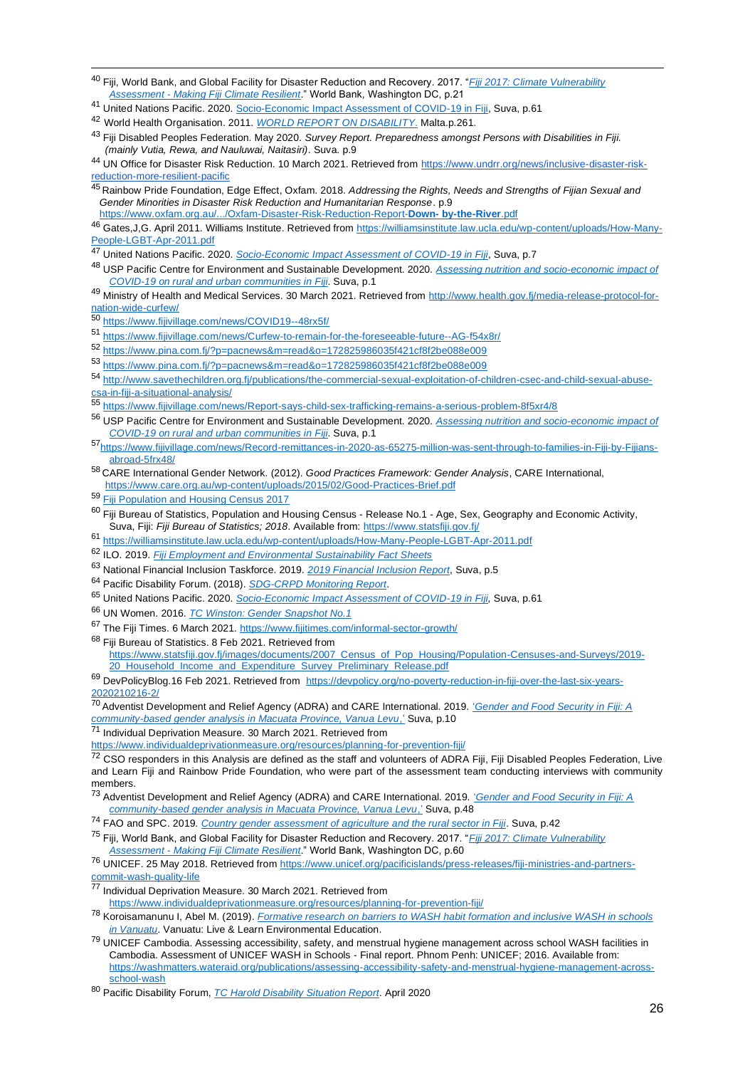<sup>40</sup> Fiji, World Bank, and Global Facility for Disaster Reduction and Recovery. 2017. "*[Fiji 2017: Climate Vulnerability](https://cop23.com.fj/wp-content/uploads/2018/02/Fiji-Climate-Vulnerability-Assessment-.pdf)  Assessment - [Making Fiji Climate Resilient](https://cop23.com.fj/wp-content/uploads/2018/02/Fiji-Climate-Vulnerability-Assessment-.pdf)*." World Bank, Washington DC, p.21

<sup>41</sup> United Nations Pacific. 2020. [Socio-Economic Impact Assessment of COVID-19 in Fiji,](https://www.pacific.undp.org/content/pacific/en/home/library/socio-economic-impact-assessment-of-covid-19-in-fiji.html) Suva, p.61

<sup>42</sup> World Health Organisation. 2011. *[WORLD REPORT ON DISABILITY](https://www.google.com/url?sa=t&rct=j&q=&esrc=s&source=web&cd=&ved=2ahUKEwjEhvrMvJPwAhWvumMGHaxrD9YQFjADegQIAhAD&url=https%3A%2F%2Fwww.who.int%2Fdisabilities%2Fworld_report%2F2011%2Freport.pdf&usg=AOvVaw2xEwmN7Ae-COE3c5NflN-4)*. Malta.p.261.

<sup>43</sup> Fiji Disabled Peoples Federation. May 2020. *Survey Report. Preparedness amongst Persons with Disabilities in Fiji. (mainly Vutia, Rewa, and Nauluwai, Naitasiri)*. Suva. p.9

44 UN Office for Disaster Risk Reduction. 10 March 2021. Retrieved from [https://www.undrr.org/news/inclusive-disaster-risk](https://www.undrr.org/news/inclusive-disaster-risk-reduction-more-resilient-pacific)[reduction-more-resilient-pacific](https://www.undrr.org/news/inclusive-disaster-risk-reduction-more-resilient-pacific)

<sup>45</sup> Rainbow Pride Foundation, Edge Effect, Oxfam. 2018. *Addressing the Rights, Needs and Strengths of Fijian Sexual and Gender Minorities in Disaster Risk Reduction and Humanitarian Response*. p.9

[https://www.oxfam.org.au/.../Oxfam-Disaster-Risk-Reduction-Report-](https://www.oxfam.org.au/.../Oxfam-Disaster-Risk-Reduction-Report-Down-%20by-the-River.pdf)**Down- [by-the-River](https://www.oxfam.org.au/.../Oxfam-Disaster-Risk-Reduction-Report-Down-%20by-the-River.pdf)**[.pdf](https://www.oxfam.org.au/.../Oxfam-Disaster-Risk-Reduction-Report-Down-%20by-the-River.pdf)

<sup>46</sup> Gates,J,G. April 2011. Williams Institute. Retrieved from [https://williamsinstitute.law.ucla.edu/wp-content/uploads/How-Many-](https://williamsinstitute.law.ucla.edu/wp-content/uploads/How-Many-People-LGBT-Apr-2011.pdf)[People-LGBT-Apr-2011.pdf](https://williamsinstitute.law.ucla.edu/wp-content/uploads/How-Many-People-LGBT-Apr-2011.pdf)

- <sup>47</sup> United Nations Pacific. 2020. *[Socio-Economic Impact Assessment of COVID-19 in Fiji](https://www.pacific.undp.org/content/pacific/en/home/library/socio-economic-impact-assessment-of-covid-19-in-fiji.html)*, Suva, p.7
- <sup>48</sup> USP Pacific Centre for Environment and Sustainable Development. 2020. *[Assessing nutrition and socio-economic impact of](https://pace.usp.ac.fj/wp-content/uploads/2018/04/CTA-2020-Fiji-Final.pdf)  [COVID-19 on rural and urban communities in Fiji](https://pace.usp.ac.fj/wp-content/uploads/2018/04/CTA-2020-Fiji-Final.pdf)*. Suva, p.1
- 49 Ministry of Health and Medical Services. 30 March 2021. Retrieved from [http://www.health.gov.fj/media-release-protocol-for](http://www.health.gov.fj/media-release-protocol-for-nation-wide-curfew/)[nation-wide-curfew/](http://www.health.gov.fj/media-release-protocol-for-nation-wide-curfew/)
- <sup>50</sup> <https://www.fijivillage.com/news/COVID19--48rx5f/>
- <sup>51</sup> <https://www.fijivillage.com/news/Curfew-to-remain-for-the-foreseeable-future--AG-f54x8r/>
- <sup>52</sup> <https://www.pina.com.fj/?p=pacnews&m=read&o=172825986035f421cf8f2be088e009>
- <sup>53</sup> <https://www.pina.com.fj/?p=pacnews&m=read&o=172825986035f421cf8f2be088e009>

<sup>54</sup> [http://www.savethechildren.org.fj/publications/the-commercial-sexual-exploitation-of-children-csec-and-child-sexual-abuse](http://www.savethechildren.org.fj/publications/the-commercial-sexual-exploitation-of-children-csec-and-child-sexual-abuse-%20%20csa-in-fiji-a-situational-analysis/)[csa-in-fiji-a-situational-analysis/](http://www.savethechildren.org.fj/publications/the-commercial-sexual-exploitation-of-children-csec-and-child-sexual-abuse-%20%20csa-in-fiji-a-situational-analysis/)

- <sup>55</sup> <https://www.fijivillage.com/news/Report-says-child-sex-trafficking-remains-a-serious-problem-8f5xr4/8>
- <sup>56</sup> USP Pacific Centre for Environment and Sustainable Development. 2020. *[Assessing nutrition and socio-economic impact of](https://pace.usp.ac.fj/wp-content/uploads/2018/04/CTA-2020-Fiji-Final.pdf)  [COVID-19 on rural and urban communities in Fiji](https://pace.usp.ac.fj/wp-content/uploads/2018/04/CTA-2020-Fiji-Final.pdf)*. Suva, p.1
- <sup>57</sup>[https://www.fijivillage.com/news/Record-remittances-in-2020-as-65275-million-was-sent-through-to-families-in-Fiji-by-Fijians](https://www.fijivillage.com/news/Record-remittances-in-2020-as-65275-million-was-sent-through-to-families-in-Fiji-by-Fijians-abroad-5frx48/)abroad-5frx48/
- <sup>58</sup> CARE International Gender Network. (2012). *Good Practices Framework: Gender Analysis*, CARE International, <https://www.care.org.au/wp-content/uploads/2015/02/Good-Practices-Brief.pdf>
- 59 [Fiji Population and Housing Census 2017](https://www.statsfiji.gov.fj/index.php/census-2017/census-2017-release-1)
- $\overline{60}$  Fiii Bureau of Statistics. Population and Housing Census Release No.1 Age, Sex, Geography and Economic Activity, Suva, Fiji: *Fiji Bureau of Statistics; 2018*. Available from[: https://www.statsfiji.gov.fj/](https://www.statsfiji.gov.fj/)
- <sup>61</sup> <https://williamsinstitute.law.ucla.edu/wp-content/uploads/How-Many-People-LGBT-Apr-2011.pdf>
- <sup>62</sup> ILO. 2019. *[Fiji Employment and Environmental Sustainability Fact Sheets](https://ilo.userservices.exlibrisgroup.com/discovery/delivery/41ILO_INST:41ILO_V2/1270539690002676?lang=en)*
- <sup>63</sup> National Financial Inclusion Taskforce. 2019. *[2019 Financial Inclusion Report](http://www.nfitfiji.com/wp-content/uploads/Fiji-Financial-Inclusion-Annual-report-2019_final.pdf)*, Suva, p.5
- <sup>64</sup> Pacific Disability Forum. (2018). *[SDG-CRPD Monitoring Report](about:blank)*.
- <sup>65</sup> United Nations Pacific. 2020. *[Socio-Economic Impact Assessment of COVID-19 in Fiji,](https://www.pacific.undp.org/content/pacific/en/home/library/socio-economic-impact-assessment-of-covid-19-in-fiji.html)* Suva, p.61
- <sup>66</sup> UN Women. 2016. *[TC Winston: Gender Snapshot No.1](https://reliefweb.int/report/fiji/tc-winston-gender-snapshot-no-1)*
- <sup>67</sup> The Fiji Times. 6 March 2021.<https://www.fijitimes.com/informal-sector-growth/>

<sup>68</sup> Fiji Bureau of Statistics. 8 Feb 2021. Retrieved from [https://www.statsfiji.gov.fj/images/documents/2007\\_Census\\_of\\_Pop\\_Housing/Population-Censuses-and-Surveys/2019-](https://www.statsfiji.gov.fj/images/documents/2007_Census_of_Pop_Housing/Population-Censuses-and-Surveys/2019-20_Household_Income_and_Expenditure_Survey_Preliminary_Release.pdf)

20 Household Income and Expenditure Survey Preliminary Release.pdf

<sup>69</sup> DevPolicyBlog.16 Feb 2021. Retrieved from [https://devpolicy.org/no-poverty-reduction-in-fiji-over-the-last-six-years-](https://devpolicy.org/no-poverty-reduction-in-fiji-over-the-last-six-years-2020210216-2/)[2020210216-2/](https://devpolicy.org/no-poverty-reduction-in-fiji-over-the-last-six-years-2020210216-2/)

<sup>70</sup> Adventist Development and Relief Agency (ADRA) and CARE International. 2019. ['](https://reliefweb.int/report/fiji/gender-and-food-security-fiji-community-based-gender-analysis-macuata-province-vanua)*[Gender and Food Security in Fiji: A](https://reliefweb.int/report/fiji/gender-and-food-security-fiji-community-based-gender-analysis-macuata-province-vanua)  [community-based gender analysis in Macuata Province, Vanua Levu](https://reliefweb.int/report/fiji/gender-and-food-security-fiji-community-based-gender-analysis-macuata-province-vanua)*[,'](https://reliefweb.int/report/fiji/gender-and-food-security-fiji-community-based-gender-analysis-macuata-province-vanua) Suva, p.10

<sup>71</sup> Individual Deprivation Measure. 30 March 2021. Retrieved from

<https://www.individualdeprivationmeasure.org/resources/planning-for-prevention-fiji/>

72 CSO responders in this Analysis are defined as the staff and volunteers of ADRA Fiji, Fiji Disabled Peoples Federation, Live and Learn Fiji and Rainbow Pride Foundation, who were part of the assessment team conducting interviews with community members.

- <sup>73</sup> Adventist Development and Relief Agency (ADRA) and CARE International. 2019. ['](https://reliefweb.int/report/fiji/gender-and-food-security-fiji-community-based-gender-analysis-macuata-province-vanua)*[Gender and Food Security in Fiji: A](https://reliefweb.int/report/fiji/gender-and-food-security-fiji-community-based-gender-analysis-macuata-province-vanua)  [community-based gender analysis in Macuata Province, Vanua Levu](https://reliefweb.int/report/fiji/gender-and-food-security-fiji-community-based-gender-analysis-macuata-province-vanua)*[,'](https://reliefweb.int/report/fiji/gender-and-food-security-fiji-community-based-gender-analysis-macuata-province-vanua) Suva, p.48
- <sup>74</sup> FAO and SPC. 2019. *[Country gender assessment of agriculture and the rural sector in Fiji](http://www.fao.org/3/ca6670en/ca6670en.pdf)*. Suva, p.42

<sup>75</sup> Fiji, World Bank, and Global Facility for Disaster Reduction and Recovery. 2017. "*[Fiji 2017: Climate Vulnerability](https://cop23.com.fj/wp-content/uploads/2018/02/Fiji-Climate-Vulnerability-Assessment-.pdf)  Assessment - [Making Fiji Climate Resilient](https://cop23.com.fj/wp-content/uploads/2018/02/Fiji-Climate-Vulnerability-Assessment-.pdf)*." World Bank, Washington DC, p.60

<sup>76</sup> UNICEF. 25 May 2018. Retrieved from [https://www.unicef.org/pacificislands/press-releases/fiji-ministries-and-partners](https://www.unicef.org/pacificislands/press-releases/fiji-ministries-and-partners-commit-wash-quality-life)[commit-wash-quality-life](https://www.unicef.org/pacificislands/press-releases/fiji-ministries-and-partners-commit-wash-quality-life)

<sup>77</sup> Individual Deprivation Measure. 30 March 2021. Retrieved from

<https://www.individualdeprivationmeasure.org/resources/planning-for-prevention-fiji/>

<sup>78</sup> Koroisamanunu I, Abel M. (2019). *[Formative research on barriers to WASH habit formation and inclusive WASH in schools](https://livelearn.org/assets/media/docs/resources/FormativeResearch_Barriers_Handwashing_Inclusive_WinS_VanuatuFullRe....pdf)  [in Vanuatu](https://livelearn.org/assets/media/docs/resources/FormativeResearch_Barriers_Handwashing_Inclusive_WinS_VanuatuFullRe....pdf)*. Vanuatu: Live & Learn Environmental Education.

<sup>79</sup> UNICEF Cambodia. Assessing accessibility, safety, and menstrual hygiene management across school WASH facilities in Cambodia. Assessment of UNICEF WASH in Schools - Final report. Phnom Penh: UNICEF; 2016. Available from: [https://washmatters.wateraid.org/publications/assessing-accessibility-safety-and-menstrual-hygiene-management-across](https://washmatters.wateraid.org/publications/assessing-accessibility-safety-and-menstrual-hygiene-management-across-school-wash)[school-wash](https://washmatters.wateraid.org/publications/assessing-accessibility-safety-and-menstrual-hygiene-management-across-school-wash)

<sup>80</sup> Pacific Disability Forum, *[TC Harold Disability Situation Report](http://www.pacificdisability.org/getattachment/Home/Situation-Report-1-(7-April-to-28-April-2020)-Wedn/TC-Harold-Situation-Report-on-Disability-Inclusion.pdf.aspx)*. April 2020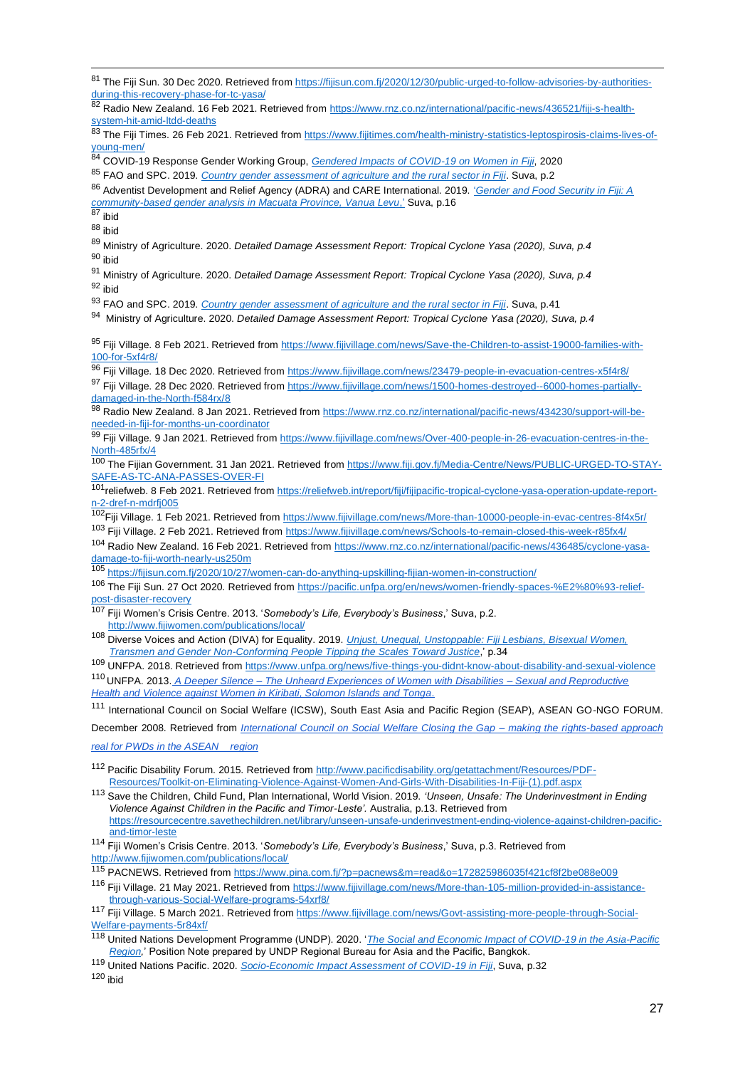<sup>84</sup> COVID-19 Response Gender Working Group, *[Gendered Impacts of COVID-19 on Women in Fiji](http://www.fwrm.org.fj/images/Gender_and_COVID_Guidance_Note_-_Rapid_Gender_Analysis.pdf)*, 2020

<sup>86</sup> Adventist Development and Relief Agency (ADRA) and CARE International. 2019. ['](https://reliefweb.int/report/fiji/gender-and-food-security-fiji-community-based-gender-analysis-macuata-province-vanua)*[Gender and Food Security in Fiji: A](https://reliefweb.int/report/fiji/gender-and-food-security-fiji-community-based-gender-analysis-macuata-province-vanua)  [community-based gender analysis in Macuata Province, Vanua Levu](https://reliefweb.int/report/fiji/gender-and-food-security-fiji-community-based-gender-analysis-macuata-province-vanua)*[,'](https://reliefweb.int/report/fiji/gender-and-food-security-fiji-community-based-gender-analysis-macuata-province-vanua) Suva, p.16

 $87$  ibid

<sup>88</sup> ibid

<sup>89</sup> Ministry of Agriculture. 2020. *Detailed Damage Assessment Report: Tropical Cyclone Yasa (2020), Suva, p.4* <sup>90</sup> ibid

<sup>91</sup> Ministry of Agriculture. 2020. *Detailed Damage Assessment Report: Tropical Cyclone Yasa (2020), Suva, p.4*  $92$  ihid

<sup>93</sup> FAO and SPC. 2019. *[Country gender assessment of agriculture and the rural sector in Fiji](http://www.fao.org/3/ca6670en/ca6670en.pdf)*. Suva, p.41

94 Ministry of Agriculture. 2020. *Detailed Damage Assessment Report: Tropical Cyclone Yasa (2020), Suva, p.4*

95 Fiji Village. 8 Feb 2021. Retrieved from [https://www.fijivillage.com/news/Save-the-Children-to-assist-19000-families-with-](https://www.fijivillage.com/news/Save-the-Children-to-assist-19000-families-with-100-for-5xf4r8/)100-for- $5x$ f4r8/

<sup>96</sup> Fiji Village. 18 Dec 2020. Retrieved from<https://www.fijivillage.com/news/23479-people-in-evacuation-centres-x5f4r8/>

97 Fiji Village. 28 Dec 2020. Retrieved from [https://www.fijivillage.com/news/1500-homes-destroyed--6000-homes-partially](https://www.fijivillage.com/news/1500-homes-destroyed--6000-homes-partially-damaged-in-the-North-f584rx/)[damaged-in-the-North-f584rx/8](https://www.fijivillage.com/news/1500-homes-destroyed--6000-homes-partially-damaged-in-the-North-f584rx/)

98 Radio New Zealand. 8 Jan 2021. Retrieved from [https://www.rnz.co.nz/international/pacific-news/434230/support-will-be](https://www.rnz.co.nz/international/pacific-news/434230/support-will-be-needed-in-fiji-for-months-un-coordinator)[needed-in-fiji-for-months-un-coordinator](https://www.rnz.co.nz/international/pacific-news/434230/support-will-be-needed-in-fiji-for-months-un-coordinator)

99 Fiji Village. 9 Jan 2021. Retrieved from [https://www.fijivillage.com/news/Over-400-people-in-26-evacuation-centres-in-the-](https://www.fijivillage.com/news/Over-400-people-in-26-evacuation-centres-in-the-North-485rfx/)[North-485rfx/4](https://www.fijivillage.com/news/Over-400-people-in-26-evacuation-centres-in-the-North-485rfx/)

<sup>100</sup> The Fijian Government. 31 Jan 2021. Retrieved from [https://www.fiji.gov.fj/Media-Centre/News/PUBLIC-URGED-TO-STAY-](https://www.fiji.gov.fj/Media-Centre/News/PUBLIC-URGED-TO-STAY-SAFE-AS-TC-ANA-PASSES-OVER-FI)[SAFE-AS-TC-ANA-PASSES-OVER-FI](https://www.fiji.gov.fj/Media-Centre/News/PUBLIC-URGED-TO-STAY-SAFE-AS-TC-ANA-PASSES-OVER-FI)

101 reliefweb. 8 Feb 2021. Retrieved from [https://reliefweb.int/report/fiji/fijipacific-tropical-cyclone-yasa-operation-update-report](https://reliefweb.int/report/fiji/fijipacific-tropical-cyclone-yasa-operation-update-report-n-2-dref-n-mdrfj005)[n-2-dref-n-mdrfj005](https://reliefweb.int/report/fiji/fijipacific-tropical-cyclone-yasa-operation-update-report-n-2-dref-n-mdrfj005)

102Fiji Village. 1 Feb 2021. Retrieved from<https://www.fijivillage.com/news/More-than-10000-people-in-evac-centres-8f4x5r/> <sup>103</sup> Fiji Village. 2 Feb 2021. Retrieved from<https://www.fijivillage.com/news/Schools-to-remain-closed-this-week-r85fx4/>

<sup>104</sup> Radio New Zealand. 16 Feb 2021. Retrieved from [https://www.rnz.co.nz/international/pacific-news/436485/cyclone-yasa](https://www.rnz.co.nz/international/pacific-news/436485/cyclone-yasa-damage-to-fiji-worth-nearly-us250m)[damage-to-fiji-worth-nearly-us250m](https://www.rnz.co.nz/international/pacific-news/436485/cyclone-yasa-damage-to-fiji-worth-nearly-us250m)

<sup>105</sup> <https://fijisun.com.fj/2020/10/27/women-can-do-anything-upskilling-fijian-women-in-construction/>

- <sup>106</sup> The Fiji Sun. 27 Oct 2020. Retrieved from [https://pacific.unfpa.org/en/news/women-friendly-spaces-%E2%80%93-relief](https://pacific.unfpa.org/en/news/women-friendly-spaces-%E2%80%93-relief-post-disaster-recovery)[post-disaster-recovery](https://pacific.unfpa.org/en/news/women-friendly-spaces-%E2%80%93-relief-post-disaster-recovery)
- <sup>107</sup> Fiji Women's Crisis Centre. 2013. '*Somebody's Life, Everybody's Business*,' Suva, p.2. <http://www.fijiwomen.com/publications/local/>

<sup>109</sup> UNFPA. 2018. Retrieved fro[m https://www.unfpa.org/news/five-things-you-didnt-know-about-disability-and-sexual-violence](https://www.unfpa.org/news/five-things-you-didnt-know-about-disability-and-sexual-violence)

<sup>110</sup> UNFPA. 2013. *[A](https://pacificwomen.org/resources/a-deeper-silence-the-unheard-experiences-of-women-with-disabilities-sexual-and-reproductive-health-and-violence-against-women-in-kiribati-solomon-islands-and-tonga) Deeper Silence – [The Unheard Experiences of Women with Disabilities –](https://pacificwomen.org/resources/a-deeper-silence-the-unheard-experiences-of-women-with-disabilities-sexual-and-reproductive-health-and-violence-against-women-in-kiribati-solomon-islands-and-tonga) Sexual and Reproductive [Health and Violence against Women in Kiribati, Solomon Islands and Tonga](https://pacificwomen.org/resources/a-deeper-silence-the-unheard-experiences-of-women-with-disabilities-sexual-and-reproductive-health-and-violence-against-women-in-kiribati-solomon-islands-and-tonga)*[.](https://pacificwomen.org/resources/a-deeper-silence-the-unheard-experiences-of-women-with-disabilities-sexual-and-reproductive-health-and-violence-against-women-in-kiribati-solomon-islands-and-tonga)

<sup>111</sup> International Council on Social Welfare (ICSW), South East Asia and Pacific Region (SEAP), ASEAN GO-NGO FORUM.

December 2008. Retrieved from *[International Council on Social Welfare Closing the Gap –](https://www.google.com/url?sa=t&rct=j&q=&esrc=s&source=web&cd=&ved=2ahUKEwjN4Mf5nJHwAhX0wzgGHZt8DlQQFjAAegQIBhAD&url=https%3A%2F%2Fwww.icsw.org%2Fimages%2Fdocs%2FRegions%2Fseasia%2Fpub%2F2009-12_CLOSING-THE-GAP-Making-the-Rights-Based-Approach-Real-for-PWDs-in-the-ASEAN-Region.doc&usg=AOvVaw0vu5AUn3RJNgwUX5dW8g1w) making the rights-based approach* 

*[real for PWDs in the ASEAN region](https://www.google.com/url?sa=t&rct=j&q=&esrc=s&source=web&cd=&ved=2ahUKEwjN4Mf5nJHwAhX0wzgGHZt8DlQQFjAAegQIBhAD&url=https%3A%2F%2Fwww.icsw.org%2Fimages%2Fdocs%2FRegions%2Fseasia%2Fpub%2F2009-12_CLOSING-THE-GAP-Making-the-Rights-Based-Approach-Real-for-PWDs-in-the-ASEAN-Region.doc&usg=AOvVaw0vu5AUn3RJNgwUX5dW8g1w)*

- <sup>112</sup> Pacific Disability Forum. 2015. Retrieved from [http://www.pacificdisability.org/getattachment/Resources/PDF-](http://www.pacificdisability.org/getattachment/Resources/PDF-Resources/Toolkit-on-Eliminating-Violence-Against-Women-And-Girls-With-Disabilities-In-Fiji-(1).pdf.aspx)[Resources/Toolkit-on-Eliminating-Violence-Against-Women-And-Girls-With-Disabilities-In-Fiji-\(1\).pdf.aspx](http://www.pacificdisability.org/getattachment/Resources/PDF-Resources/Toolkit-on-Eliminating-Violence-Against-Women-And-Girls-With-Disabilities-In-Fiji-(1).pdf.aspx)
- <sup>113</sup> Save the Children, Child Fund, Plan International, World Vision. 2019. *'Unseen, Unsafe: The Underinvestment in Ending Violence Against Children in the Pacific and Timor-Leste'.* Australia, p.13. Retrieved from [https://resourcecentre.savethechildren.net/library/unseen-unsafe-underinvestment-ending-violence-against-children-pacific](https://resourcecentre.savethechildren.net/library/unseen-unsafe-underinvestment-ending-violence-against-children-pacific-and-timor-leste)[and-timor-leste](https://resourcecentre.savethechildren.net/library/unseen-unsafe-underinvestment-ending-violence-against-children-pacific-and-timor-leste)

<sup>114</sup> Fiji Women's Crisis Centre. 2013. '*Somebody's Life, Everybody's Business*,' Suva, p.3. Retrieved from <http://www.fijiwomen.com/publications/local/>

<sup>115</sup> PACNEWS. Retrieved fro[m https://www.pina.com.fj/?p=pacnews&m=read&o=172825986035f421cf8f2be088e009](https://www.pina.com.fj/?p=pacnews&m=read&o=172825986035f421cf8f2be088e009)

116 Fiji Village. 21 May 2021. Retrieved from [https://www.fijivillage.com/news/More-than-105-million-provided-in-assistance](https://www.fijivillage.com/news/More-than-105-million-provided-in-assistance-through-various-Social-Welfare-programs-54xrf8/)[through-various-Social-Welfare-programs-54xrf8/](https://www.fijivillage.com/news/More-than-105-million-provided-in-assistance-through-various-Social-Welfare-programs-54xrf8/)

<sup>117</sup> Fiji Village. 5 March 2021. Retrieved from [https://www.fijivillage.com/news/Govt-assisting-more-people-through-Social-](https://www.fijivillage.com/news/Govt-assisting-more-people-through-Social-Welfare-payments-5r84xf/)[Welfare-payments-5r84xf/](https://www.fijivillage.com/news/Govt-assisting-more-people-through-Social-Welfare-payments-5r84xf/)

<sup>119</sup> United Nations Pacific. 2020. *[Socio-Economic Impact Assessment of COVID-19 in Fiji](https://www.pacific.undp.org/content/pacific/en/home/library/socio-economic-impact-assessment-of-covid-19-in-fiji.html)*, Suva, p.32

 $120$  ibid

<sup>81</sup> The Fiii Sun. 30 Dec 2020. Retrieved from [https://fijisun.com.fj/2020/12/30/public-urged-to-follow-advisories-by-authorities](https://fijisun.com.fj/2020/12/30/public-urged-to-follow-advisories-by-authorities-during-this-recovery-phase-for-tc-yasa/)[during-this-recovery-phase-for-tc-yasa/](https://fijisun.com.fj/2020/12/30/public-urged-to-follow-advisories-by-authorities-during-this-recovery-phase-for-tc-yasa/)

<sup>82</sup> Radio New Zealand. 16 Feb 2021. Retrieved from [https://www.rnz.co.nz/international/pacific-news/436521/fiji-s-health](https://www.rnz.co.nz/international/pacific-news/436521/fiji-s-health-system-hit-amid-ltdd-deaths)[system-hit-amid-ltdd-deaths](https://www.rnz.co.nz/international/pacific-news/436521/fiji-s-health-system-hit-amid-ltdd-deaths)

<sup>83</sup> The Fiji Times. 26 Feb 2021. Retrieved from [https://www.fijitimes.com/health-ministry-statistics-leptospirosis-claims-lives-of](https://www.fijitimes.com/health-ministry-statistics-leptospirosis-claims-lives-of-young-men/)[young-men/](https://www.fijitimes.com/health-ministry-statistics-leptospirosis-claims-lives-of-young-men/)

<sup>85</sup> FAO and SPC. 2019. *[Country gender assessment of agriculture and the rural sector in Fiji](http://www.fao.org/3/ca6670en/ca6670en.pdf)*. Suva, p.2

<sup>108</sup> Diverse Voices and Action (DIVA) for Equality. 2019. *[Unjust, Unequal, Unstoppable: Fiji Lesbians, Bisexual Women,](https://drive.google.com/file/d/1D2YiPOQb_erOxBK2rdRt45Z8mEB1no0z/view)  [Transmen and Gender Non-Conforming People Tipping the Scales Toward Justice](https://drive.google.com/file/d/1D2YiPOQb_erOxBK2rdRt45Z8mEB1no0z/view)*,' p.34

<sup>118</sup> United Nations Development Programme (UNDP). 2020. '*[The Social and Economic Impact of COVID-19 in the Asia-Pacific](https://www.undp.org/content/undp/en/home/librarypage/crisis-prevention-and-recovery/the-social-and-economic-impact-of-covid-19-in-asia-pacific.html)  [Region,](https://www.undp.org/content/undp/en/home/librarypage/crisis-prevention-and-recovery/the-social-and-economic-impact-of-covid-19-in-asia-pacific.html)*' Position Note prepared by UNDP Regional Bureau for Asia and the Pacific, Bangkok.